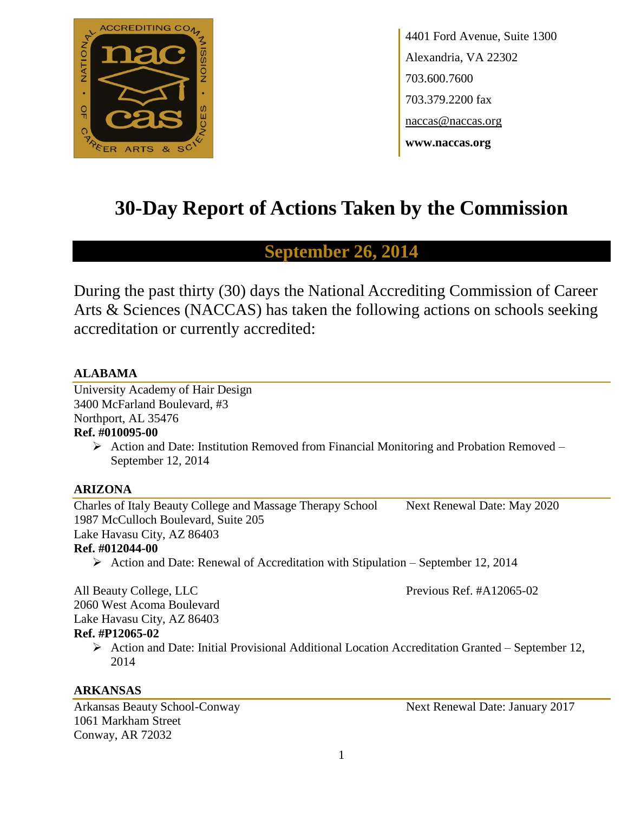

4401 Ford Avenue, Suite 1300 Alexandria, VA 22302 703.600.7600 703.379.2200 fax naccas@naccas.org **www.naccas.org**

# **30-Day Report of Actions Taken by the Commission**

# **September 26, 2014**

During the past thirty (30) days the National Accrediting Commission of Career Arts & Sciences (NACCAS) has taken the following actions on schools seeking accreditation or currently accredited:

# **ALABAMA**

University Academy of Hair Design 3400 McFarland Boulevard, #3 Northport, AL 35476

# **Ref. #010095-00**

 $\triangleright$  Action and Date: Institution Removed from Financial Monitoring and Probation Removed – September 12, 2014

# **ARIZONA**

Charles of Italy Beauty College and Massage Therapy School Next Renewal Date: May 2020 1987 McCulloch Boulevard, Suite 205 Lake Havasu City, AZ 86403

# **Ref. #012044-00**

 $\triangleright$  Action and Date: Renewal of Accreditation with Stipulation – September 12, 2014

All Beauty College, LLC **Previous Ref. #A12065-02** 2060 West Acoma Boulevard Lake Havasu City, AZ 86403 **Ref. #P12065-02**

 $\triangleright$  Action and Date: Initial Provisional Additional Location Accreditation Granted – September 12, 2014

# **ARKANSAS**

1061 Markham Street Conway, AR 72032

Arkansas Beauty School-Conway Next Renewal Date: January 2017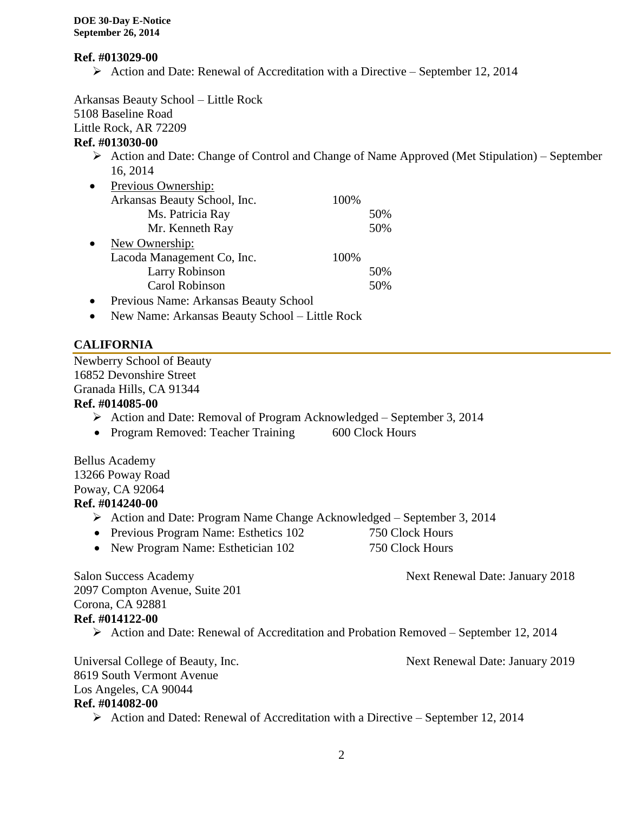#### **Ref. #013029-00**

 $\triangleright$  Action and Date: Renewal of Accreditation with a Directive – September 12, 2014

Arkansas Beauty School – Little Rock 5108 Baseline Road Little Rock, AR 72209 **Ref. #013030-00**  $\triangleright$  Action and Date: Change of Control and Change of Name Approved (Met Stipulation) – September 16, 2014 • Previous Ownership: Arkansas Beauty School, Inc. 100% Ms. Patricia Ray 50% Mr. Kenneth Ray 50% • New Ownership: Lacoda Management Co, Inc. 100% Larry Robinson 50% Carol Robinson 50% Previous Name: Arkansas Beauty School

New Name: Arkansas Beauty School – Little Rock

# **CALIFORNIA**

Newberry School of Beauty 16852 Devonshire Street Granada Hills, CA 91344

#### **Ref. #014085-00**

- Action and Date: Removal of Program Acknowledged September 3, 2014
- Program Removed: Teacher Training 600 Clock Hours

Bellus Academy 13266 Poway Road Poway, CA 92064 **Ref. #014240-00**

- Action and Date: Program Name Change Acknowledged September 3, 2014
- Previous Program Name: Esthetics 102 750 Clock Hours
- New Program Name: Esthetician 102 750 Clock Hours

Salon Success Academy Next Renewal Date: January 2018

2097 Compton Avenue, Suite 201 Corona, CA 92881 **Ref. #014122-00**

Action and Date: Renewal of Accreditation and Probation Removed – September 12, 2014

Universal College of Beauty, Inc. Next Renewal Date: January 2019 8619 South Vermont Avenue Los Angeles, CA 90044 **Ref. #014082-00**

 $\triangleright$  Action and Dated: Renewal of Accreditation with a Directive – September 12, 2014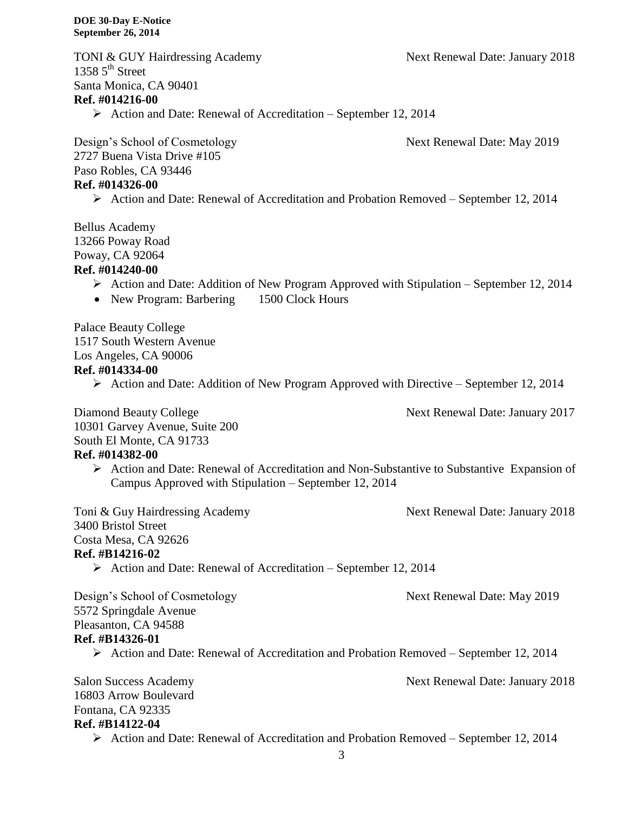TONI & GUY Hairdressing Academy Next Renewal Date: January 2018 1358  $5<sup>th</sup>$  Street Santa Monica, CA 90401 **Ref. #014216-00**

 $\triangleright$  Action and Date: Renewal of Accreditation – September 12, 2014

Design's School of Cosmetology Next Renewal Date: May 2019 2727 Buena Vista Drive #105 Paso Robles, CA 93446 **Ref. #014326-00**

Action and Date: Renewal of Accreditation and Probation Removed – September 12, 2014

Bellus Academy 13266 Poway Road Poway, CA 92064

### **Ref. #014240-00**

- Action and Date: Addition of New Program Approved with Stipulation September 12, 2014
- New Program: Barbering 1500 Clock Hours

Palace Beauty College 1517 South Western Avenue

Los Angeles, CA 90006

#### **Ref. #014334-00**

 $\triangleright$  Action and Date: Addition of New Program Approved with Directive – September 12, 2014

Diamond Beauty College Next Renewal Date: January 2017

10301 Garvey Avenue, Suite 200 South El Monte, CA 91733 **Ref. #014382-00**

> Action and Date: Renewal of Accreditation and Non-Substantive to Substantive Expansion of Campus Approved with Stipulation – September 12, 2014

Toni & Guy Hairdressing Academy Next Renewal Date: January 2018

3400 Bristol Street

Costa Mesa, CA 92626

#### **Ref. #B14216-02**

 $\triangleright$  Action and Date: Renewal of Accreditation – September 12, 2014

Design's School of Cosmetology Next Renewal Date: May 2019 5572 Springdale Avenue Pleasanton, CA 94588 **Ref. #B14326-01**

Action and Date: Renewal of Accreditation and Probation Removed – September 12, 2014

Salon Success Academy Next Renewal Date: January 2018 16803 Arrow Boulevard Fontana, CA 92335 **Ref. #B14122-04**

Action and Date: Renewal of Accreditation and Probation Removed – September 12, 2014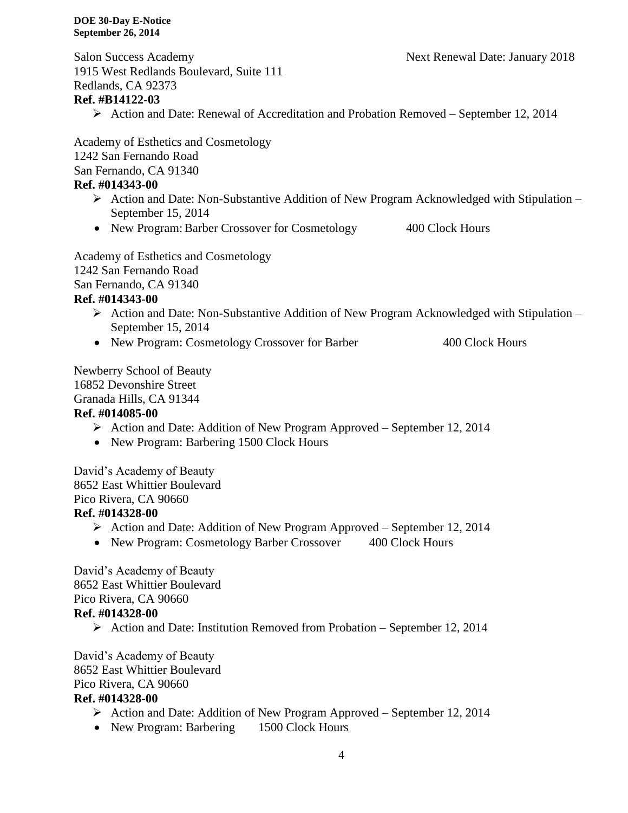1915 West Redlands Boulevard, Suite 111 Redlands, CA 92373 **Ref. #B14122-03** Action and Date: Renewal of Accreditation and Probation Removed – September 12, 2014 Academy of Esthetics and Cosmetology 1242 San Fernando Road San Fernando, CA 91340 **Ref. #014343-00** Action and Date: Non-Substantive Addition of New Program Acknowledged with Stipulation – September 15, 2014 • New Program: Barber Crossover for Cosmetology 400 Clock Hours Academy of Esthetics and Cosmetology 1242 San Fernando Road San Fernando, CA 91340

Salon Success Academy Next Renewal Date: January 2018

#### **Ref. #014343-00**

- Action and Date: Non-Substantive Addition of New Program Acknowledged with Stipulation September 15, 2014
- New Program: Cosmetology Crossover for Barber 400 Clock Hours

Newberry School of Beauty 16852 Devonshire Street Granada Hills, CA 91344 **Ref. #014085-00**

- Action and Date: Addition of New Program Approved September 12, 2014
- New Program: Barbering 1500 Clock Hours

David's Academy of Beauty 8652 East Whittier Boulevard Pico Rivera, CA 90660 **Ref. #014328-00**

- Action and Date: Addition of New Program Approved September 12, 2014
- New Program: Cosmetology Barber Crossover 400 Clock Hours

David's Academy of Beauty 8652 East Whittier Boulevard Pico Rivera, CA 90660 **Ref. #014328-00**

 $\triangleright$  Action and Date: Institution Removed from Probation – September 12, 2014

David's Academy of Beauty 8652 East Whittier Boulevard

Pico Rivera, CA 90660

#### **Ref. #014328-00**

- Action and Date: Addition of New Program Approved September 12, 2014
- New Program: Barbering 1500 Clock Hours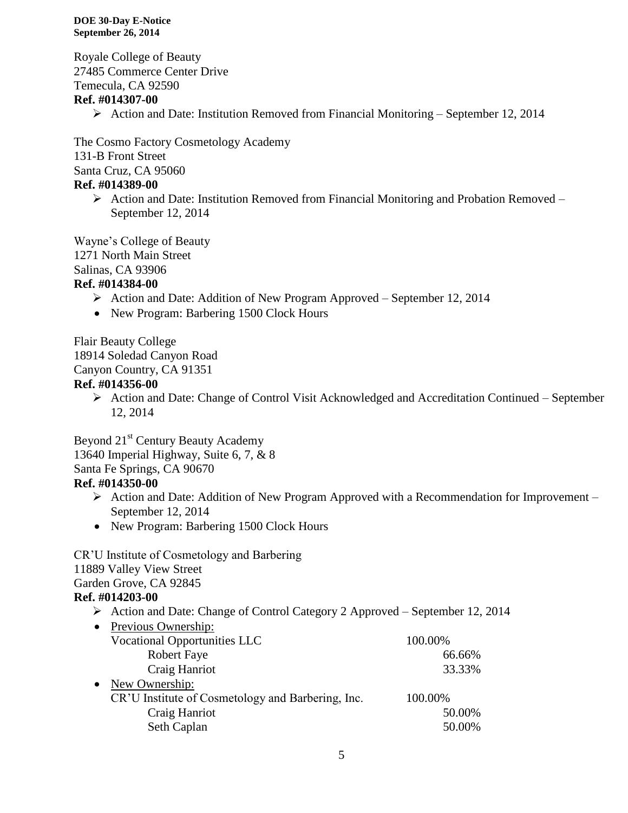Royale College of Beauty 27485 Commerce Center Drive Temecula, CA 92590

# **Ref. #014307-00**

 $\triangleright$  Action and Date: Institution Removed from Financial Monitoring – September 12, 2014

The Cosmo Factory Cosmetology Academy 131-B Front Street Santa Cruz, CA 95060

# **Ref. #014389-00**

 $\triangleright$  Action and Date: Institution Removed from Financial Monitoring and Probation Removed – September 12, 2014

Wayne's College of Beauty

1271 North Main Street

Salinas, CA 93906

# **Ref. #014384-00**

- Action and Date: Addition of New Program Approved September 12, 2014
- New Program: Barbering 1500 Clock Hours

Flair Beauty College 18914 Soledad Canyon Road Canyon Country, CA 91351

# **Ref. #014356-00**

 Action and Date: Change of Control Visit Acknowledged and Accreditation Continued – September 12, 2014

Beyond 21<sup>st</sup> Century Beauty Academy 13640 Imperial Highway, Suite 6, 7, & 8 Santa Fe Springs, CA 90670 **Ref. #014350-00**

- $\triangleright$  Action and Date: Addition of New Program Approved with a Recommendation for Improvement September 12, 2014
- New Program: Barbering 1500 Clock Hours

CR'U Institute of Cosmetology and Barbering

11889 Valley View Street

Garden Grove, CA 92845

# **Ref. #014203-00**

- Action and Date: Change of Control Category 2 Approved September 12, 2014
- Previous Ownership: Vocational Opportunities LLC 100.00% Robert Faye 66.66% Craig Hanriot 33.33% • New Ownership: CR'U Institute of Cosmetology and Barbering, Inc. 100.00% Craig Hanriot 50.00% Seth Caplan 50.00%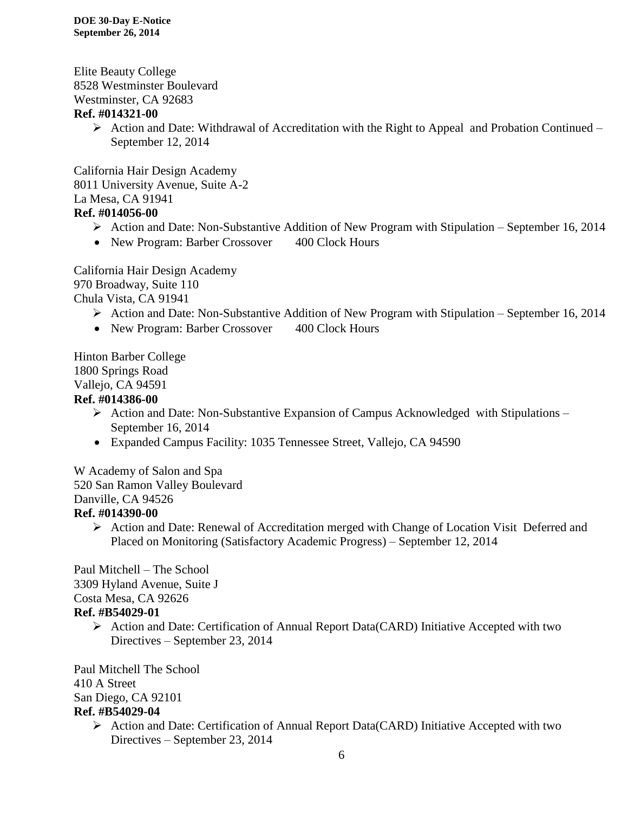Elite Beauty College 8528 Westminster Boulevard Westminster, CA 92683 **Ref. #014321-00**

> $\triangleright$  Action and Date: Withdrawal of Accreditation with the Right to Appeal and Probation Continued – September 12, 2014

California Hair Design Academy 8011 University Avenue, Suite A-2 La Mesa, CA 91941 **Ref. #014056-00**

- Action and Date: Non-Substantive Addition of New Program with Stipulation September 16, 2014
- New Program: Barber Crossover 400 Clock Hours

California Hair Design Academy 970 Broadway, Suite 110 Chula Vista, CA 91941

- $\triangleright$  Action and Date: Non-Substantive Addition of New Program with Stipulation September 16, 2014
- New Program: Barber Crossover 400 Clock Hours

Hinton Barber College 1800 Springs Road Vallejo, CA 94591

# **Ref. #014386-00**

- $\triangleright$  Action and Date: Non-Substantive Expansion of Campus Acknowledged with Stipulations September 16, 2014
- Expanded Campus Facility: 1035 Tennessee Street, Vallejo, CA 94590

W Academy of Salon and Spa 520 San Ramon Valley Boulevard Danville, CA 94526 **Ref. #014390-00**

> Action and Date: Renewal of Accreditation merged with Change of Location Visit Deferred and Placed on Monitoring (Satisfactory Academic Progress) – September 12, 2014

Paul Mitchell – The School 3309 Hyland Avenue, Suite J Costa Mesa, CA 92626 **Ref. #B54029-01**

> Action and Date: Certification of Annual Report Data(CARD) Initiative Accepted with two Directives – September 23, 2014

Paul Mitchell The School 410 A Street San Diego, CA 92101

# **Ref. #B54029-04**

 Action and Date: Certification of Annual Report Data(CARD) Initiative Accepted with two Directives – September 23, 2014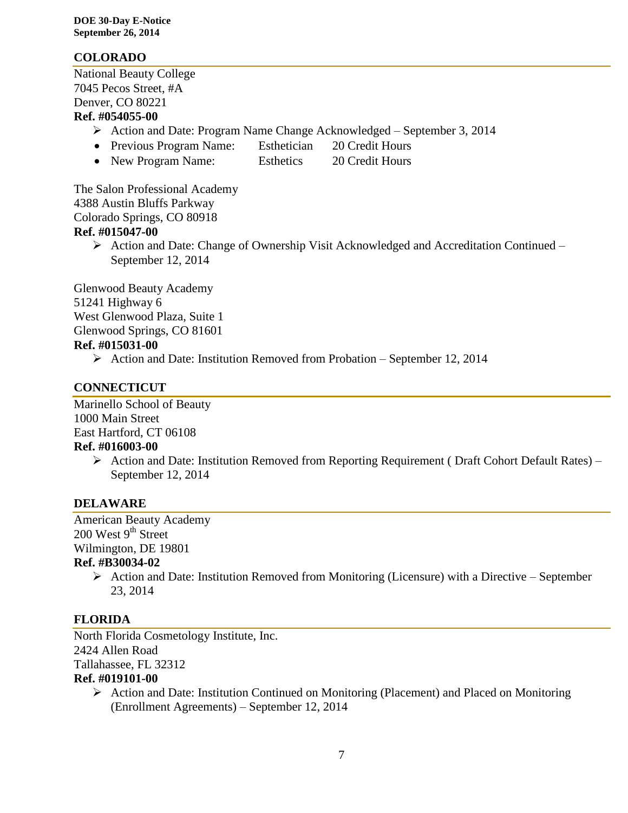# **COLORADO**

National Beauty College 7045 Pecos Street, #A Denver, CO 80221 **Ref. #054055-00**

- Action and Date: Program Name Change Acknowledged September 3, 2014
- Previous Program Name: Esthetician 20 Credit Hours
- New Program Name: Esthetics 20 Credit Hours

The Salon Professional Academy 4388 Austin Bluffs Parkway Colorado Springs, CO 80918 **Ref. #015047-00**

 $\triangleright$  Action and Date: Change of Ownership Visit Acknowledged and Accreditation Continued – September 12, 2014

Glenwood Beauty Academy 51241 Highway 6 West Glenwood Plaza, Suite 1 Glenwood Springs, CO 81601 **Ref. #015031-00**

 $\triangleright$  Action and Date: Institution Removed from Probation – September 12, 2014

# **CONNECTICUT**

Marinello School of Beauty 1000 Main Street East Hartford, CT 06108 **Ref. #016003-00**

> $\triangleright$  Action and Date: Institution Removed from Reporting Requirement (Draft Cohort Default Rates) – September 12, 2014

# **DELAWARE**

American Beauty Academy  $200$  West  $9<sup>th</sup>$  Street Wilmington, DE 19801

# **Ref. #B30034-02**

 $\triangleright$  Action and Date: Institution Removed from Monitoring (Licensure) with a Directive – September 23, 2014

# **FLORIDA**

North Florida Cosmetology Institute, Inc. 2424 Allen Road Tallahassee, FL 32312 **Ref. #019101-00**

 Action and Date: Institution Continued on Monitoring (Placement) and Placed on Monitoring (Enrollment Agreements) – September 12, 2014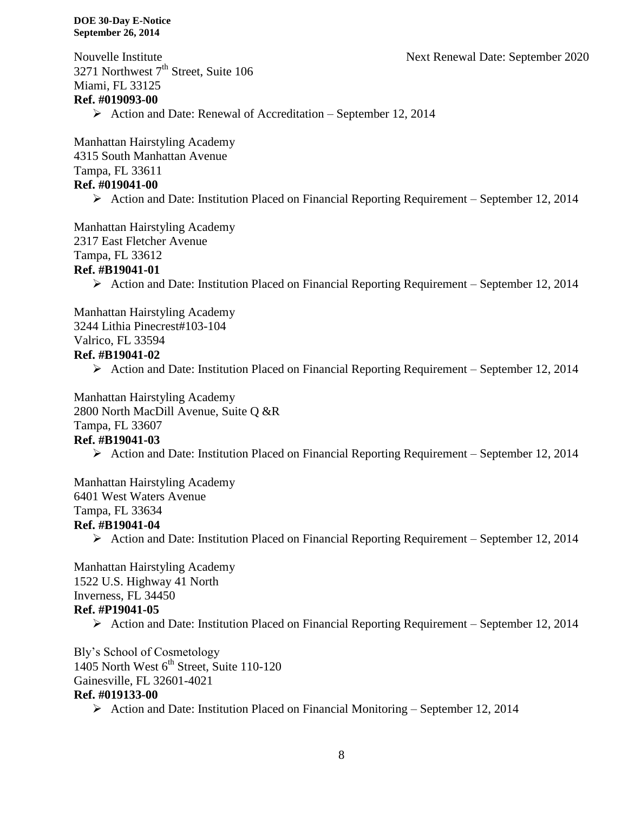Nouvelle Institute Next Renewal Date: September 2020

3271 Northwest  $7<sup>th</sup>$  Street, Suite 106 Miami, FL 33125 **Ref. #019093-00**

 $\triangleright$  Action and Date: Renewal of Accreditation – September 12, 2014

Manhattan Hairstyling Academy 4315 South Manhattan Avenue Tampa, FL 33611 **Ref. #019041-00**

Action and Date: Institution Placed on Financial Reporting Requirement – September 12, 2014

Manhattan Hairstyling Academy 2317 East Fletcher Avenue Tampa, FL 33612

#### **Ref. #B19041-01**

Action and Date: Institution Placed on Financial Reporting Requirement – September 12, 2014

Manhattan Hairstyling Academy 3244 Lithia Pinecrest#103-104 Valrico, FL 33594 **Ref. #B19041-02**

Action and Date: Institution Placed on Financial Reporting Requirement – September 12, 2014

Manhattan Hairstyling Academy 2800 North MacDill Avenue, Suite Q &R Tampa, FL 33607

#### **Ref. #B19041-03**

Action and Date: Institution Placed on Financial Reporting Requirement – September 12, 2014

Manhattan Hairstyling Academy 6401 West Waters Avenue Tampa, FL 33634

# **Ref. #B19041-04**

Action and Date: Institution Placed on Financial Reporting Requirement – September 12, 2014

Manhattan Hairstyling Academy 1522 U.S. Highway 41 North Inverness, FL 34450 **Ref. #P19041-05**

Action and Date: Institution Placed on Financial Reporting Requirement – September 12, 2014

Bly's School of Cosmetology 1405 North West 6<sup>th</sup> Street, Suite 110-120 Gainesville, FL 32601-4021

#### **Ref. #019133-00**

 $\triangleright$  Action and Date: Institution Placed on Financial Monitoring – September 12, 2014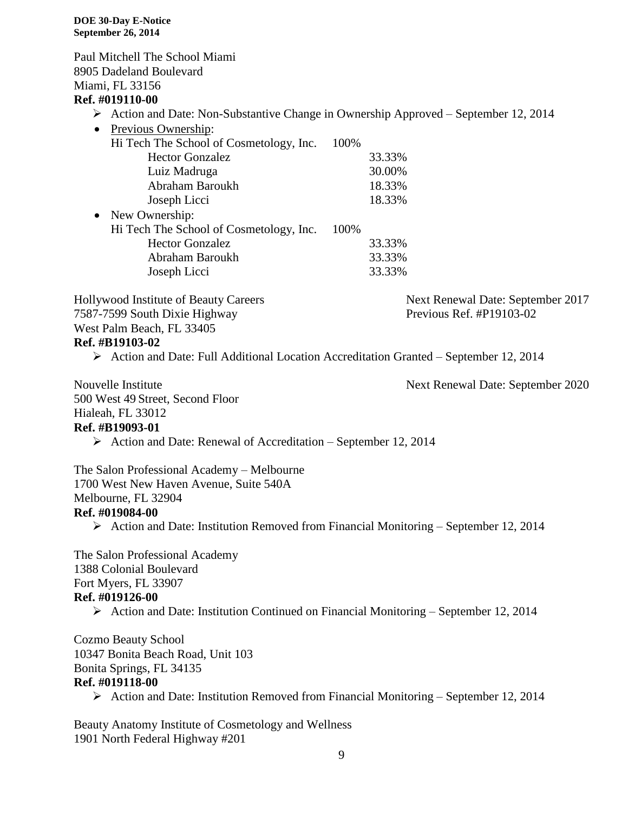Paul Mitchell The School Miami 8905 Dadeland Boulevard Miami, FL 33156 **Ref. #019110-00** Action and Date: Non-Substantive Change in Ownership Approved – September 12, 2014 • Previous Ownership: Hi Tech The School of Cosmetology, Inc. 100% Hector Gonzalez 33.33% Luiz Madruga 30.00% Abraham Baroukh 18.33% Joseph Licci 18.33% • New Ownership: Hi Tech The School of Cosmetology, Inc. 100% Hector Gonzalez 33.33% Abraham Baroukh 33.33% Joseph Licci 33.33% Hollywood Institute of Beauty Careers Next Renewal Date: September 2017 7587-7599 South Dixie Highway Previous Ref. #P19103-02 West Palm Beach, FL 33405 **Ref. #B19103-02** Action and Date: Full Additional Location Accreditation Granted – September 12, 2014 Nouvelle Institute Next Renewal Date: September 2020 500 West 49 Street, Second Floor Hialeah, FL 33012 **Ref. #B19093-01**  $\triangleright$  Action and Date: Renewal of Accreditation – September 12, 2014 The Salon Professional Academy – Melbourne 1700 West New Haven Avenue, Suite 540A Melbourne, FL 32904 **Ref. #019084-00** Action and Date: Institution Removed from Financial Monitoring – September 12, 2014 The Salon Professional Academy 1388 Colonial Boulevard Fort Myers, FL 33907 **Ref. #019126-00** Action and Date: Institution Continued on Financial Monitoring – September 12, 2014 Cozmo Beauty School 10347 Bonita Beach Road, Unit 103 Bonita Springs, FL 34135 **Ref. #019118-00** Action and Date: Institution Removed from Financial Monitoring – September 12, 2014

Beauty Anatomy Institute of Cosmetology and Wellness 1901 North Federal Highway #201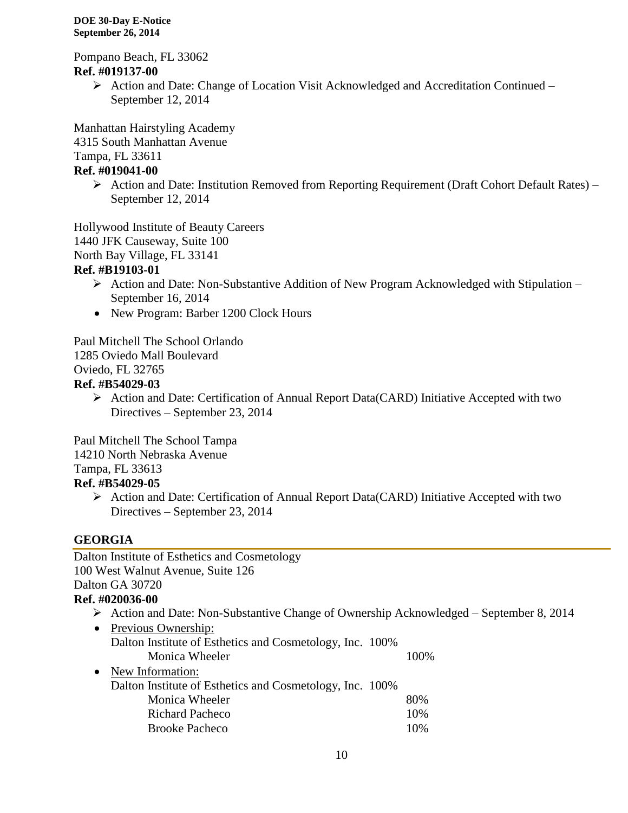Pompano Beach, FL 33062 **Ref. #019137-00**

 $\triangleright$  Action and Date: Change of Location Visit Acknowledged and Accreditation Continued – September 12, 2014

Manhattan Hairstyling Academy 4315 South Manhattan Avenue Tampa, FL 33611

# **Ref. #019041-00**

 Action and Date: Institution Removed from Reporting Requirement (Draft Cohort Default Rates) – September 12, 2014

Hollywood Institute of Beauty Careers

1440 JFK Causeway, Suite 100

North Bay Village, FL 33141

# **Ref. #B19103-01**

- Action and Date: Non-Substantive Addition of New Program Acknowledged with Stipulation September 16, 2014
- New Program: Barber 1200 Clock Hours

Paul Mitchell The School Orlando

1285 Oviedo Mall Boulevard

Oviedo, FL 32765

# **Ref. #B54029-03**

 $\triangleright$  Action and Date: Certification of Annual Report Data(CARD) Initiative Accepted with two Directives – September 23, 2014

Paul Mitchell The School Tampa 14210 North Nebraska Avenue Tampa, FL 33613 **Ref. #B54029-05**

> Action and Date: Certification of Annual Report Data(CARD) Initiative Accepted with two Directives – September 23, 2014

# **GEORGIA**

Dalton Institute of Esthetics and Cosmetology 100 West Walnut Avenue, Suite 126 Dalton GA 30720 **Ref. #020036-00**

# Action and Date: Non-Substantive Change of Ownership Acknowledged – September 8, 2014

• Previous Ownership: Dalton Institute of Esthetics and Cosmetology, Inc. 100% Monica Wheeler 100% • New Information: Dalton Institute of Esthetics and Cosmetology, Inc. 100% Monica Wheeler 80% Richard Pacheco 10% Brooke Pacheco 10%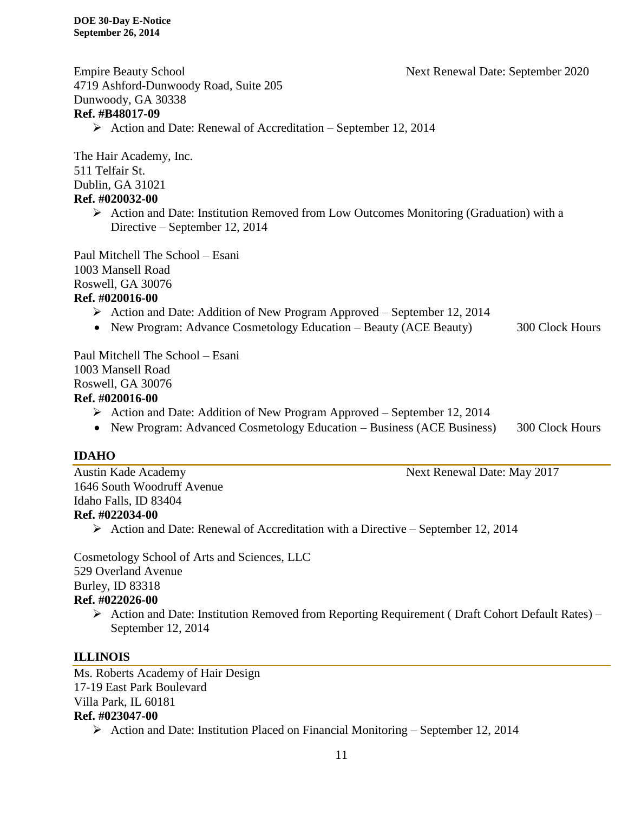Empire Beauty School Next Renewal Date: September 2020

4719 Ashford-Dunwoody Road, Suite 205 Dunwoody, GA 30338 **Ref. #B48017-09**

 $\triangleright$  Action and Date: Renewal of Accreditation – September 12, 2014

The Hair Academy, Inc. 511 Telfair St. Dublin, GA 31021

#### **Ref. #020032-00**

 $\triangleright$  Action and Date: Institution Removed from Low Outcomes Monitoring (Graduation) with a Directive – September 12, 2014

Paul Mitchell The School – Esani 1003 Mansell Road Roswell, GA 30076

#### **Ref. #020016-00**

- $\triangleright$  Action and Date: Addition of New Program Approved September 12, 2014
- New Program: Advance Cosmetology Education Beauty (ACE Beauty) 300 Clock Hours

Paul Mitchell The School – Esani 1003 Mansell Road Roswell, GA 30076

#### **Ref. #020016-00**

- Action and Date: Addition of New Program Approved September 12, 2014
- New Program: Advanced Cosmetology Education Business (ACE Business) 300 Clock Hours

#### **IDAHO**

Austin Kade Academy Next Renewal Date: May 2017 1646 South Woodruff Avenue Idaho Falls, ID 83404 **Ref. #022034-00**  $\triangleright$  Action and Date: Renewal of Accreditation with a Directive – September 12, 2014

Cosmetology School of Arts and Sciences, LLC 529 Overland Avenue Burley, ID 83318

# **Ref. #022026-00**

 $\triangleright$  Action and Date: Institution Removed from Reporting Requirement (Draft Cohort Default Rates) – September 12, 2014

#### **ILLINOIS**

Ms. Roberts Academy of Hair Design 17-19 East Park Boulevard Villa Park, IL 60181 **Ref. #023047-00** Action and Date: Institution Placed on Financial Monitoring – September 12, 2014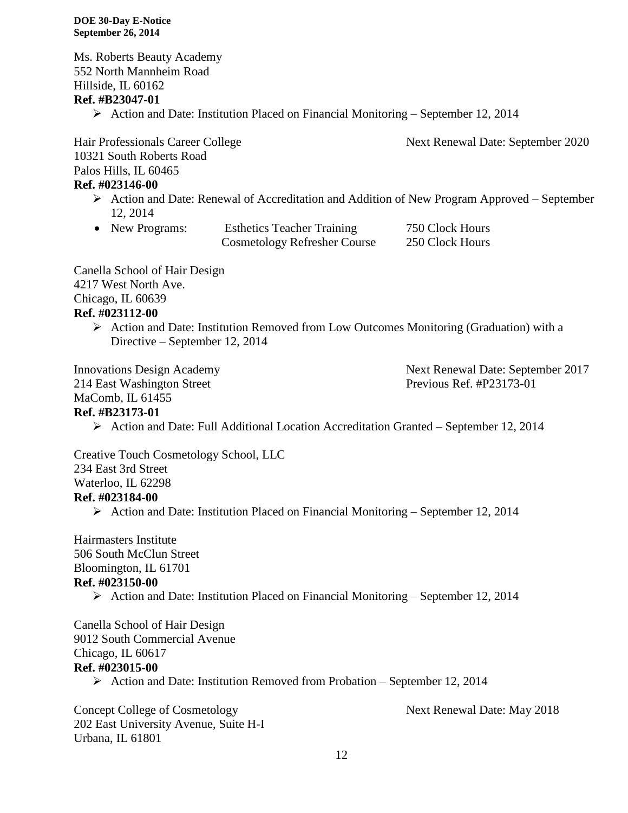Ms. Roberts Beauty Academy 552 North Mannheim Road Hillside, IL 60162 **Ref. #B23047-01**

 $\triangleright$  Action and Date: Institution Placed on Financial Monitoring – September 12, 2014

10321 South Roberts Road Palos Hills, IL 60465 **Ref. #023146-00**

- Action and Date: Renewal of Accreditation and Addition of New Program Approved September 12, 2014
- New Programs: Esthetics Teacher Training 750 Clock Hours Cosmetology Refresher Course 250 Clock Hours

Canella School of Hair Design 4217 West North Ave. Chicago, IL 60639 **Ref. #023112-00**

> $\triangleright$  Action and Date: Institution Removed from Low Outcomes Monitoring (Graduation) with a Directive – September 12, 2014

MaComb, IL 61455

# **Ref. #B23173-01**

Action and Date: Full Additional Location Accreditation Granted – September 12, 2014

Creative Touch Cosmetology School, LLC 234 East 3rd Street Waterloo, IL 62298 **Ref. #023184-00**

Action and Date: Institution Placed on Financial Monitoring – September 12, 2014

Hairmasters Institute 506 South McClun Street Bloomington, IL 61701 **Ref. #023150-00**  $\triangleright$  Action and Date: Institution Placed on Financial Monitoring – September 12, 2014

Canella School of Hair Design 9012 South Commercial Avenue Chicago, IL 60617 **Ref. #023015-00**

 $\triangleright$  Action and Date: Institution Removed from Probation – September 12, 2014

Concept College of Cosmetology Next Renewal Date: May 2018 202 East University Avenue, Suite H-I Urbana, IL 61801

Hair Professionals Career College Next Renewal Date: September 2020

Innovations Design Academy Next Renewal Date: September 2017 214 East Washington Street Previous Ref. #P23173-01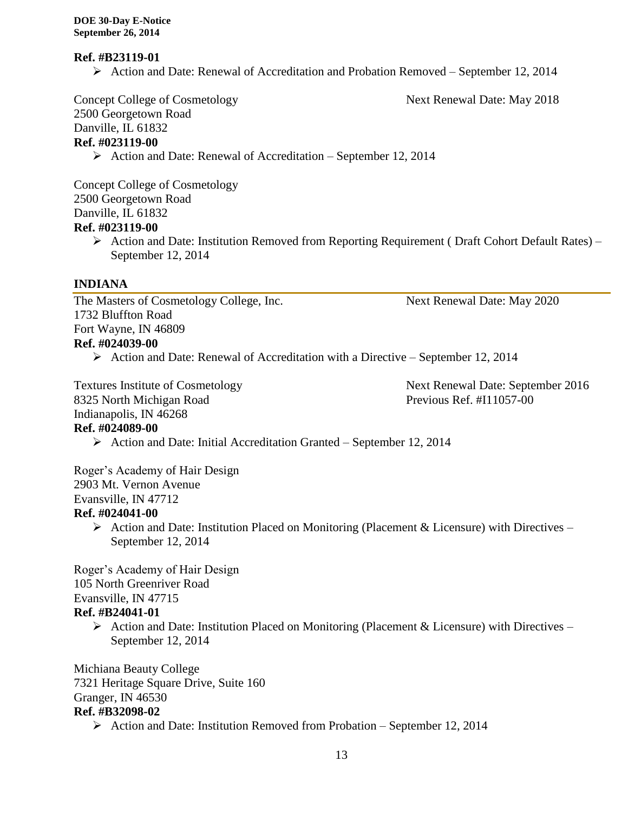#### **Ref. #B23119-01**

Action and Date: Renewal of Accreditation and Probation Removed – September 12, 2014

Concept College of Cosmetology Next Renewal Date: May 2018

2500 Georgetown Road Danville, IL 61832

# **Ref. #023119-00**

 $\triangleright$  Action and Date: Renewal of Accreditation – September 12, 2014

Concept College of Cosmetology 2500 Georgetown Road Danville, IL 61832

# **Ref. #023119-00**

 Action and Date: Institution Removed from Reporting Requirement ( Draft Cohort Default Rates) – September 12, 2014

# **INDIANA**

The Masters of Cosmetology College, Inc. Next Renewal Date: May 2020 1732 Bluffton Road Fort Wayne, IN 46809 **Ref. #024039-00**

Action and Date: Renewal of Accreditation with a Directive – September 12, 2014

8325 North Michigan Road Previous Ref. #I11057-00 Indianapolis, IN 46268

Textures Institute of Cosmetology Next Renewal Date: September 2016

# **Ref. #024089-00**

 $\triangleright$  Action and Date: Initial Accreditation Granted – September 12, 2014

Roger's Academy of Hair Design 2903 Mt. Vernon Avenue Evansville, IN 47712

# **Ref. #024041-00**

Action and Date: Institution Placed on Monitoring (Placement & Licensure) with Directives – September 12, 2014

Roger's Academy of Hair Design 105 North Greenriver Road Evansville, IN 47715 **Ref. #B24041-01**

> $\triangleright$  Action and Date: Institution Placed on Monitoring (Placement & Licensure) with Directives – September 12, 2014

Michiana Beauty College 7321 Heritage Square Drive, Suite 160 Granger, IN 46530 **Ref. #B32098-02**

Action and Date: Institution Removed from Probation – September 12, 2014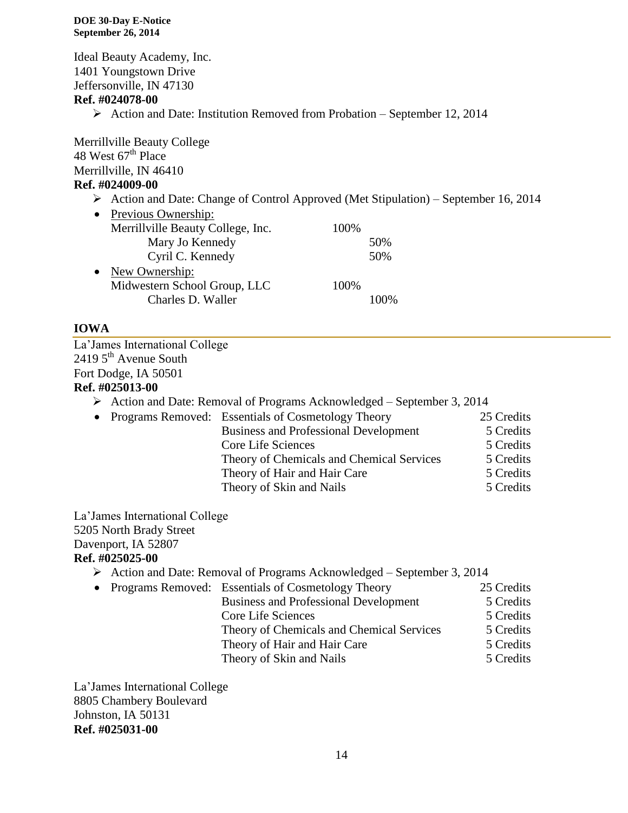Ideal Beauty Academy, Inc. 1401 Youngstown Drive Jeffersonville, IN 47130 **Ref. #024078-00** Action and Date: Institution Removed from Probation – September 12, 2014 Merrillville Beauty College 48 West  $67^{\text{th}}$  Place Merrillville, IN 46410 **Ref. #024009-00**

 $\triangleright$  Action and Date: Change of Control Approved (Met Stipulation) – September 16, 2014

| $\bullet$ | Previous Ownership:               |      |         |
|-----------|-----------------------------------|------|---------|
|           | Merrillville Beauty College, Inc. | 100% |         |
|           | Mary Jo Kennedy                   |      | 50%     |
|           | Cyril C. Kennedy                  |      | 50%     |
| $\bullet$ | New Ownership:                    |      |         |
|           | Midwestern School Group, LLC      | 100% |         |
|           | Charles D. Waller                 |      | $100\%$ |
|           |                                   |      |         |

## **IOWA**

La'James International College  $24195<sup>th</sup>$  Avenue South Fort Dodge, IA 50501 **Ref. #025013-00**

- Action and Date: Removal of Programs Acknowledged September 3, 2014
- Programs Removed: Essentials of Cosmetology Theory 25 Credits Business and Professional Development 5 Credits Core Life Sciences 5 Credits Theory of Chemicals and Chemical Services 5 Credits Theory of Hair and Hair Care 5 Credits Theory of Skin and Nails 5 Credits

La'James International College 5205 North Brady Street Davenport, IA 52807

# **Ref. #025025-00**

- $\triangleright$  Action and Date: Removal of Programs Acknowledged September 3, 2014
- Programs Removed: Essentials of Cosmetology Theory 25 Credits
- Business and Professional Development 5 Credits Core Life Sciences 5 Credits Theory of Chemicals and Chemical Services 5 Credits Theory of Hair and Hair Care 5 Credits Theory of Skin and Nails 5 Credits

La'James International College 8805 Chambery Boulevard Johnston, IA 50131 **Ref. #025031-00**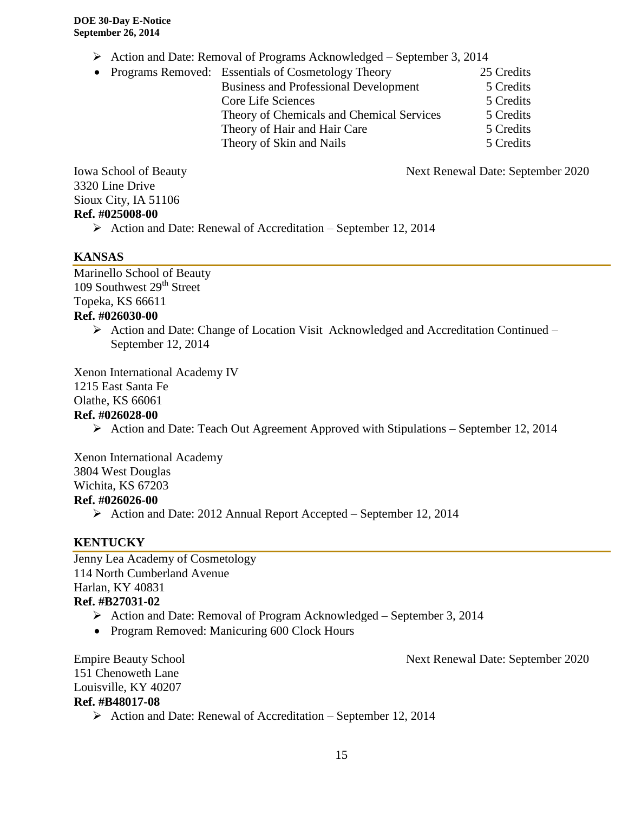- Action and Date: Removal of Programs Acknowledged September 3, 2014
- Programs Removed: Essentials of Cosmetology Theory 25 Credits Business and Professional Development 5 Credits Core Life Sciences 5 Credits Theory of Chemicals and Chemical Services 5 Credits Theory of Hair and Hair Care 5 Credits Theory of Skin and Nails 5 Credits

Iowa School of Beauty **Next Renewal Date: September 2020** 3320 Line Drive Sioux City, IA 51106 **Ref. #025008-00**

 $\triangleright$  Action and Date: Renewal of Accreditation – September 12, 2014

# **KANSAS**

Marinello School of Beauty 109 Southwest  $29<sup>th</sup>$  Street Topeka, KS 66611

# **Ref. #026030-00**

 $\triangleright$  Action and Date: Change of Location Visit Acknowledged and Accreditation Continued – September 12, 2014

Xenon International Academy IV 1215 East Santa Fe

Olathe, KS 66061

# **Ref. #026028-00**

Action and Date: Teach Out Agreement Approved with Stipulations – September 12, 2014

Xenon International Academy 3804 West Douglas Wichita, KS 67203

- **Ref. #026026-00**
	- Action and Date: 2012 Annual Report Accepted September 12, 2014

# **KENTUCKY**

Jenny Lea Academy of Cosmetology 114 North Cumberland Avenue Harlan, KY 40831 **Ref. #B27031-02**

- Action and Date: Removal of Program Acknowledged September 3, 2014
- Program Removed: Manicuring 600 Clock Hours

151 Chenoweth Lane Louisville, KY 40207 **Ref. #B48017-08**

Empire Beauty School Next Renewal Date: September 2020

 $\triangleright$  Action and Date: Renewal of Accreditation – September 12, 2014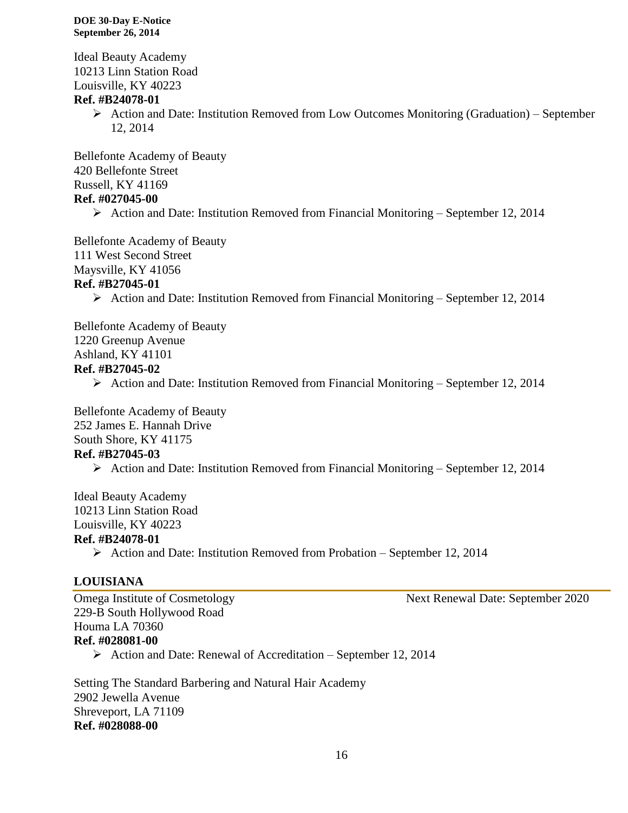Ideal Beauty Academy 10213 Linn Station Road Louisville, KY 40223

# **Ref. #B24078-01**

 $\triangleright$  Action and Date: Institution Removed from Low Outcomes Monitoring (Graduation) – September 12, 2014

Bellefonte Academy of Beauty 420 Bellefonte Street Russell, KY 41169

# **Ref. #027045-00**

 $\triangleright$  Action and Date: Institution Removed from Financial Monitoring – September 12, 2014

Bellefonte Academy of Beauty 111 West Second Street Maysville, KY 41056

# **Ref. #B27045-01**

Action and Date: Institution Removed from Financial Monitoring – September 12, 2014

Bellefonte Academy of Beauty 1220 Greenup Avenue Ashland, KY 41101 **Ref. #B27045-02**

 $\triangleright$  Action and Date: Institution Removed from Financial Monitoring – September 12, 2014

Bellefonte Academy of Beauty 252 James E. Hannah Drive South Shore, KY 41175 **Ref. #B27045-03**

 $\triangleright$  Action and Date: Institution Removed from Financial Monitoring – September 12, 2014

Ideal Beauty Academy 10213 Linn Station Road Louisville, KY 40223 **Ref. #B24078-01**

 $\triangleright$  Action and Date: Institution Removed from Probation – September 12, 2014

# **LOUISIANA**

Omega Institute of Cosmetology Next Renewal Date: September 2020 229-B South Hollywood Road Houma LA 70360 **Ref. #028081-00**

 $\triangleright$  Action and Date: Renewal of Accreditation – September 12, 2014

Setting The Standard Barbering and Natural Hair Academy 2902 Jewella Avenue Shreveport, LA 71109 **Ref. #028088-00**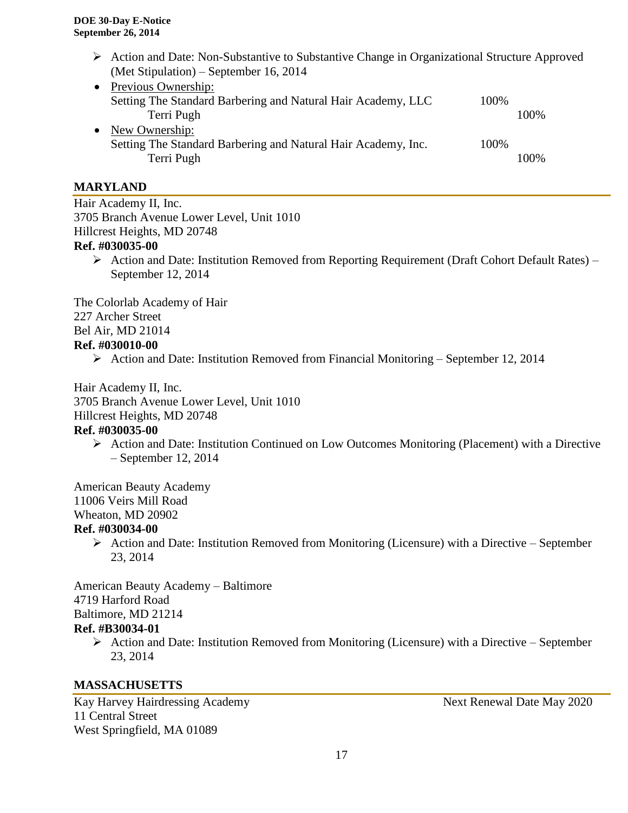- Action and Date: Non-Substantive to Substantive Change in Organizational Structure Approved (Met Stipulation) – September 16, 2014
- Previous Ownership: Setting The Standard Barbering and Natural Hair Academy, LLC 100% Terri Pugh 100% • New Ownership: Setting The Standard Barbering and Natural Hair Academy, Inc. 100% Terri Pugh 100%

# **MARYLAND**

Hair Academy II, Inc. 3705 Branch Avenue Lower Level, Unit 1010 Hillcrest Heights, MD 20748 **Ref. #030035-00**

 Action and Date: Institution Removed from Reporting Requirement (Draft Cohort Default Rates) – September 12, 2014

The Colorlab Academy of Hair 227 Archer Street Bel Air, MD 21014

## **Ref. #030010-00**

Action and Date: Institution Removed from Financial Monitoring – September 12, 2014

Hair Academy II, Inc. 3705 Branch Avenue Lower Level, Unit 1010 Hillcrest Heights, MD 20748

# **Ref. #030035-00**

 $\triangleright$  Action and Date: Institution Continued on Low Outcomes Monitoring (Placement) with a Directive – September 12, 2014

American Beauty Academy 11006 Veirs Mill Road Wheaton, MD 20902

# **Ref. #030034-00**

 $\triangleright$  Action and Date: Institution Removed from Monitoring (Licensure) with a Directive – September 23, 2014

American Beauty Academy – Baltimore 4719 Harford Road Baltimore, MD 21214 **Ref. #B30034-01**

 $\triangleright$  Action and Date: Institution Removed from Monitoring (Licensure) with a Directive – September 23, 2014

#### **MASSACHUSETTS**

Kay Harvey Hairdressing Academy Next Renewal Date May 2020 11 Central Street West Springfield, MA 01089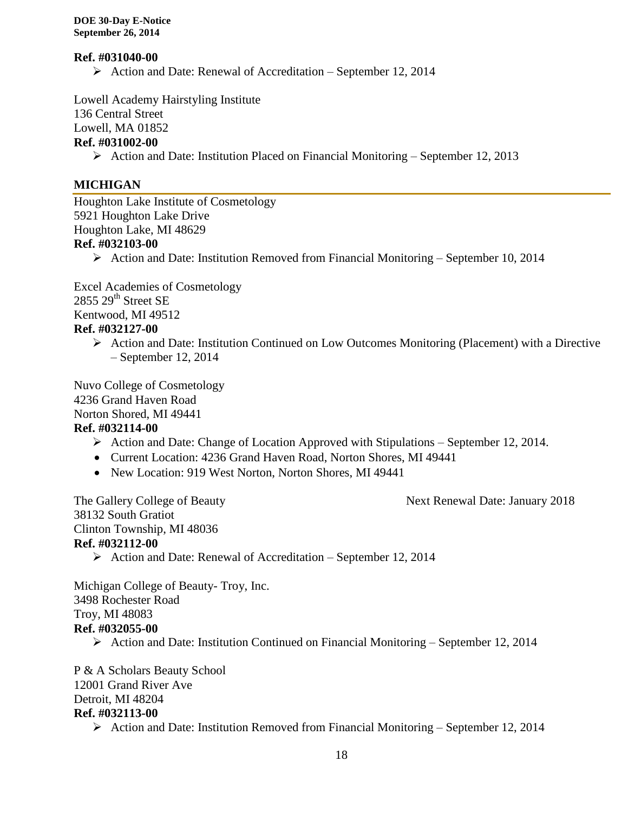#### **Ref. #031040-00**

 $\triangleright$  Action and Date: Renewal of Accreditation – September 12, 2014

Lowell Academy Hairstyling Institute 136 Central Street Lowell, MA 01852

# **Ref. #031002-00**

 $\triangleright$  Action and Date: Institution Placed on Financial Monitoring – September 12, 2013

# **MICHIGAN**

Houghton Lake Institute of Cosmetology 5921 Houghton Lake Drive Houghton Lake, MI 48629 **Ref. #032103-00**

 $\triangleright$  Action and Date: Institution Removed from Financial Monitoring – September 10, 2014

Excel Academies of Cosmetology 2855 29<sup>th</sup> Street SE Kentwood, MI 49512

# **Ref. #032127-00**

 $\triangleright$  Action and Date: Institution Continued on Low Outcomes Monitoring (Placement) with a Directive – September 12, 2014

Nuvo College of Cosmetology 4236 Grand Haven Road Norton Shored, MI 49441

#### **Ref. #032114-00**

- $\triangleright$  Action and Date: Change of Location Approved with Stipulations September 12, 2014.
- Current Location: 4236 Grand Haven Road, Norton Shores, MI 49441
- New Location: 919 West Norton, Norton Shores, MI 49441

The Gallery College of Beauty **Next Renewal Date: January 2018** 

38132 South Gratiot Clinton Township, MI 48036 **Ref. #032112-00**

 $\triangleright$  Action and Date: Renewal of Accreditation – September 12, 2014

Michigan College of Beauty- Troy, Inc. 3498 Rochester Road Troy, MI 48083 **Ref. #032055-00**

Action and Date: Institution Continued on Financial Monitoring – September 12, 2014

P & A Scholars Beauty School 12001 Grand River Ave Detroit, MI 48204 **Ref. #032113-00**

 $\triangleright$  Action and Date: Institution Removed from Financial Monitoring – September 12, 2014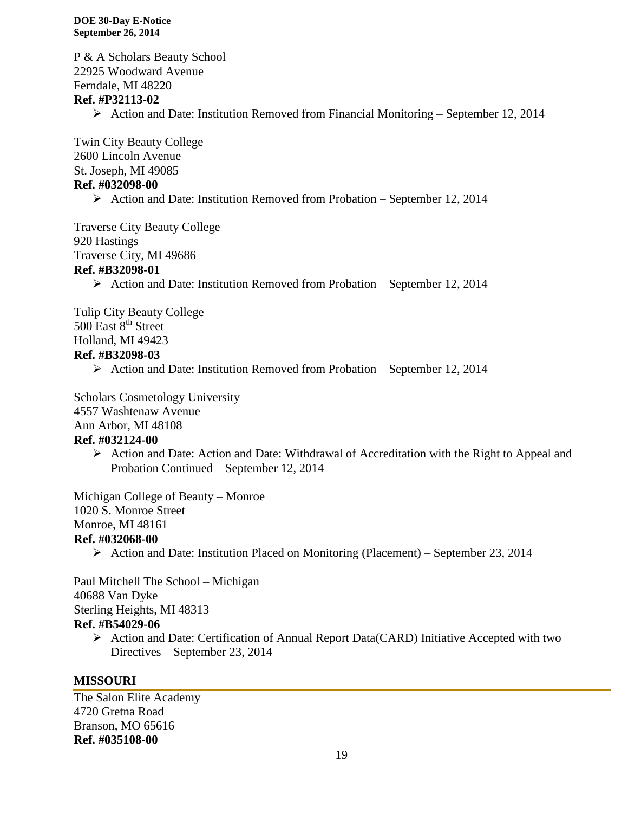P & A Scholars Beauty School 22925 Woodward Avenue Ferndale, MI 48220 **Ref. #P32113-02**  $\triangleright$  Action and Date: Institution Removed from Financial Monitoring – September 12, 2014 Twin City Beauty College

2600 Lincoln Avenue St. Joseph, MI 49085 **Ref. #032098-00**

 $\triangleright$  Action and Date: Institution Removed from Probation – September 12, 2014

Traverse City Beauty College 920 Hastings Traverse City, MI 49686 **Ref. #B32098-01**

 $\triangleright$  Action and Date: Institution Removed from Probation – September 12, 2014

Tulip City Beauty College 500 East 8<sup>th</sup> Street Holland, MI 49423 **Ref. #B32098-03**

Action and Date: Institution Removed from Probation – September 12, 2014

Scholars Cosmetology University 4557 Washtenaw Avenue Ann Arbor, MI 48108 **Ref. #032124-00**

 $\triangleright$  Action and Date: Action and Date: Withdrawal of Accreditation with the Right to Appeal and Probation Continued – September 12, 2014

Michigan College of Beauty – Monroe 1020 S. Monroe Street Monroe, MI 48161 **Ref. #032068-00**

 $\triangleright$  Action and Date: Institution Placed on Monitoring (Placement) – September 23, 2014

Paul Mitchell The School – Michigan 40688 Van Dyke Sterling Heights, MI 48313 **Ref. #B54029-06**

> Action and Date: Certification of Annual Report Data(CARD) Initiative Accepted with two Directives – September 23, 2014

# **MISSOURI**

The Salon Elite Academy 4720 Gretna Road Branson, MO 65616 **Ref. #035108-00**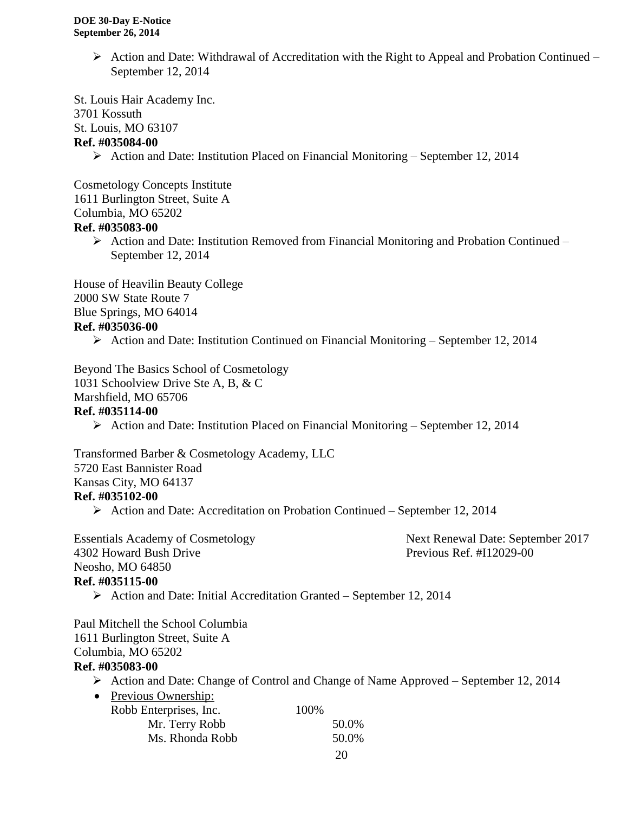$\triangleright$  Action and Date: Withdrawal of Accreditation with the Right to Appeal and Probation Continued – September 12, 2014

St. Louis Hair Academy Inc. 3701 Kossuth St. Louis, MO 63107 **Ref. #035084-00**

Action and Date: Institution Placed on Financial Monitoring – September 12, 2014

Cosmetology Concepts Institute 1611 Burlington Street, Suite A Columbia, MO 65202

#### **Ref. #035083-00**

 $\triangleright$  Action and Date: Institution Removed from Financial Monitoring and Probation Continued – September 12, 2014

House of Heavilin Beauty College 2000 SW State Route 7 Blue Springs, MO 64014

# **Ref. #035036-00**

Action and Date: Institution Continued on Financial Monitoring – September 12, 2014

Beyond The Basics School of Cosmetology

1031 Schoolview Drive Ste A, B, & C

Marshfield, MO 65706

#### **Ref. #035114-00**

Action and Date: Institution Placed on Financial Monitoring – September 12, 2014

Transformed Barber & Cosmetology Academy, LLC 5720 East Bannister Road Kansas City, MO 64137 **Ref. #035102-00**

Action and Date: Accreditation on Probation Continued – September 12, 2014

Essentials Academy of Cosmetology Next Renewal Date: September 2017 4302 Howard Bush Drive Previous Ref. #I12029-00 Neosho, MO 64850 **Ref. #035115-00**

 $\triangleright$  Action and Date: Initial Accreditation Granted – September 12, 2014

Paul Mitchell the School Columbia 1611 Burlington Street, Suite A Columbia, MO 65202

# **Ref. #035083-00**

Action and Date: Change of Control and Change of Name Approved – September 12, 2014

| • Previous Ownership:  |       |       |
|------------------------|-------|-------|
| Robb Enterprises, Inc. | 100\% |       |
| Mr. Terry Robb         |       | 50.0% |
| Ms. Rhonda Robb        |       | 50.0% |
|                        |       |       |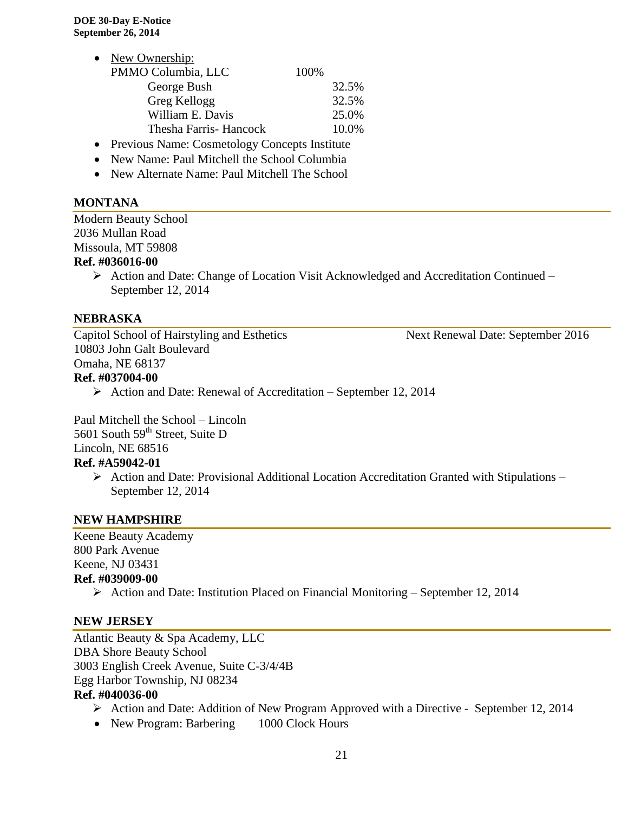- New Ownership: PMMO Columbia, LLC 100% George Bush 32.5% Greg Kellogg 32.5% William E. Davis 25.0% Thesha Farris- Hancock 10.0%
- Previous Name: Cosmetology Concepts Institute
- New Name: Paul Mitchell the School Columbia
- New Alternate Name: Paul Mitchell The School

## **MONTANA**

Modern Beauty School 2036 Mullan Road Missoula, MT 59808

### **Ref. #036016-00**

 Action and Date: Change of Location Visit Acknowledged and Accreditation Continued – September 12, 2014

#### **NEBRASKA**

Capitol School of Hairstyling and Esthetics Next Renewal Date: September 2016 10803 John Galt Boulevard Omaha, NE 68137 **Ref. #037004-00**

 $\triangleright$  Action and Date: Renewal of Accreditation – September 12, 2014 Paul Mitchell the School – Lincoln

5601 South 59<sup>th</sup> Street, Suite D

Lincoln, NE 68516

# **Ref. #A59042-01**

 $\triangleright$  Action and Date: Provisional Additional Location Accreditation Granted with Stipulations – September 12, 2014

#### **NEW HAMPSHIRE**

Keene Beauty Academy 800 Park Avenue Keene, NJ 03431 **Ref. #039009-00**

 $\triangleright$  Action and Date: Institution Placed on Financial Monitoring – September 12, 2014

#### **NEW JERSEY**

Atlantic Beauty & Spa Academy, LLC DBA Shore Beauty School 3003 English Creek Avenue, Suite C-3/4/4B Egg Harbor Township, NJ 08234 **Ref. #040036-00**

- Action and Date: Addition of New Program Approved with a Directive September 12, 2014
- New Program: Barbering 1000 Clock Hours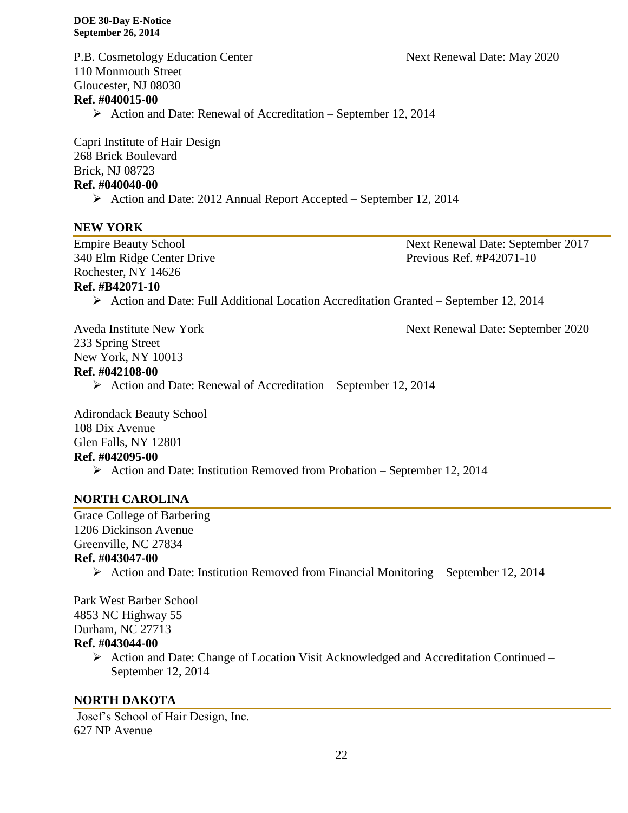P.B. Cosmetology Education Center Next Renewal Date: May 2020 110 Monmouth Street Gloucester, NJ 08030

# **Ref. #040015-00**

 $\triangleright$  Action and Date: Renewal of Accreditation – September 12, 2014

Capri Institute of Hair Design 268 Brick Boulevard Brick, NJ 08723 **Ref. #040040-00**

Action and Date: 2012 Annual Report Accepted – September 12, 2014

## **NEW YORK**

340 Elm Ridge Center Drive Previous Ref. #P42071-10 Rochester, NY 14626

#### **Ref. #B42071-10**

Action and Date: Full Additional Location Accreditation Granted – September 12, 2014

233 Spring Street New York, NY 10013

#### **Ref. #042108-00**

 $\triangleright$  Action and Date: Renewal of Accreditation – September 12, 2014

Adirondack Beauty School 108 Dix Avenue Glen Falls, NY 12801 **Ref. #042095-00**

 $\triangleright$  Action and Date: Institution Removed from Probation – September 12, 2014

# **NORTH CAROLINA**

Grace College of Barbering 1206 Dickinson Avenue Greenville, NC 27834

# **Ref. #043047-00**

 $\triangleright$  Action and Date: Institution Removed from Financial Monitoring – September 12, 2014

Park West Barber School 4853 NC Highway 55 Durham, NC 27713

- **Ref. #043044-00**
	- Action and Date: Change of Location Visit Acknowledged and Accreditation Continued September 12, 2014

#### **NORTH DAKOTA**

Josef's School of Hair Design, Inc. 627 NP Avenue

22

Empire Beauty School Next Renewal Date: September 2017

Aveda Institute New York Next Renewal Date: September 2020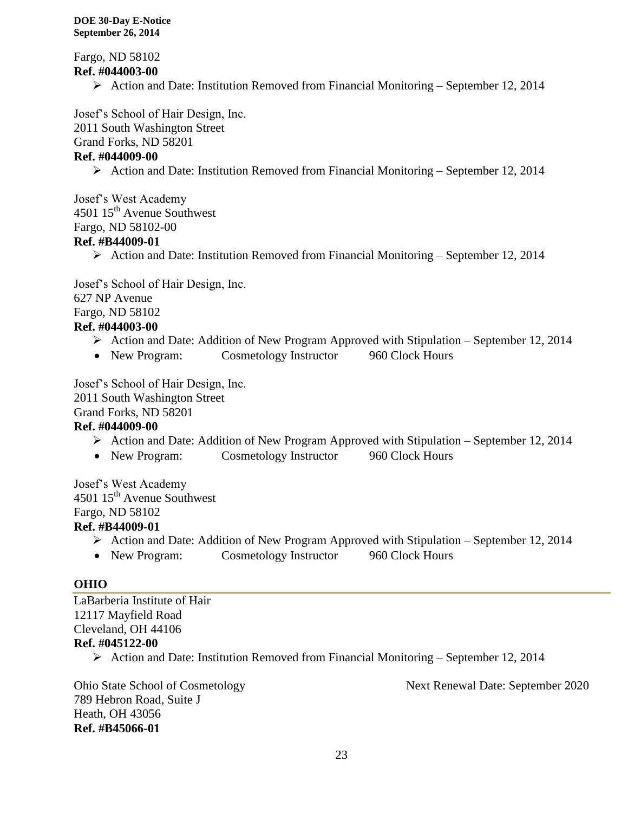Fargo, ND 58102 **Ref. #044003-00**

Action and Date: Institution Removed from Financial Monitoring – September 12, 2014

Josef's School of Hair Design, Inc.

2011 South Washington Street

Grand Forks, ND 58201

# **Ref. #044009-00**

Action and Date: Institution Removed from Financial Monitoring – September 12, 2014

Josef's West Academy 4501 15<sup>th</sup> Avenue Southwest Fargo, ND 58102-00

## **Ref. #B44009-01**

Action and Date: Institution Removed from Financial Monitoring – September 12, 2014

Josef's School of Hair Design, Inc. 627 NP Avenue Fargo, ND 58102

# **Ref. #044003-00**

- Action and Date: Addition of New Program Approved with Stipulation September 12, 2014
- New Program: Cosmetology Instructor 960 Clock Hours

Josef's School of Hair Design, Inc. 2011 South Washington Street

Grand Forks, ND 58201

# **Ref. #044009-00**

- Action and Date: Addition of New Program Approved with Stipulation September 12, 2014
- New Program: Cosmetology Instructor 960 Clock Hours

Josef's West Academy  $4501 \, 15^{\text{th}}$  Avenue Southwest Fargo, ND 58102

# **Ref. #B44009-01**

- $\triangleright$  Action and Date: Addition of New Program Approved with Stipulation September 12, 2014
- New Program: Cosmetology Instructor 960 Clock Hours

#### **OHIO**

LaBarberia Institute of Hair 12117 Mayfield Road Cleveland, OH 44106 **Ref. #045122-00** Action and Date: Institution Removed from Financial Monitoring – September 12, 2014

789 Hebron Road, Suite J Heath, OH 43056 **Ref. #B45066-01**

Ohio State School of Cosmetology Next Renewal Date: September 2020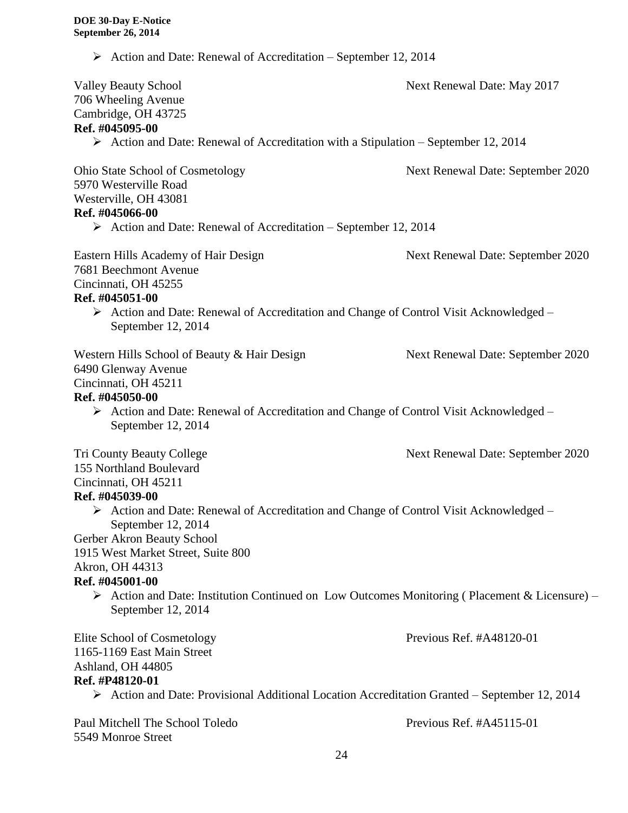$\triangleright$  Action and Date: Renewal of Accreditation – September 12, 2014

| <b>Valley Beauty School</b>                                                                                                        | Next Renewal Date: May 2017       |
|------------------------------------------------------------------------------------------------------------------------------------|-----------------------------------|
| 706 Wheeling Avenue                                                                                                                |                                   |
| Cambridge, OH 43725                                                                                                                |                                   |
| Ref. #045095-00                                                                                                                    |                                   |
| $\triangleright$ Action and Date: Renewal of Accreditation with a Stipulation – September 12, 2014                                 |                                   |
| <b>Ohio State School of Cosmetology</b>                                                                                            | Next Renewal Date: September 2020 |
| 5970 Westerville Road                                                                                                              |                                   |
| Westerville, OH 43081                                                                                                              |                                   |
| Ref. #045066-00                                                                                                                    |                                   |
| $\triangleright$ Action and Date: Renewal of Accreditation – September 12, 2014                                                    |                                   |
| <b>Eastern Hills Academy of Hair Design</b>                                                                                        | Next Renewal Date: September 2020 |
| 7681 Beechmont Avenue                                                                                                              |                                   |
| Cincinnati, OH 45255                                                                                                               |                                   |
| Ref. #045051-00                                                                                                                    |                                   |
| $\triangleright$ Action and Date: Renewal of Accreditation and Change of Control Visit Acknowledged –<br>September 12, 2014        |                                   |
| Western Hills School of Beauty & Hair Design                                                                                       | Next Renewal Date: September 2020 |
| 6490 Glenway Avenue                                                                                                                |                                   |
| Cincinnati, OH 45211                                                                                                               |                                   |
| Ref. #045050-00                                                                                                                    |                                   |
| $\triangleright$ Action and Date: Renewal of Accreditation and Change of Control Visit Acknowledged –<br>September 12, 2014        |                                   |
| <b>Tri County Beauty College</b>                                                                                                   | Next Renewal Date: September 2020 |
| 155 Northland Boulevard                                                                                                            |                                   |
| Cincinnati, OH 45211                                                                                                               |                                   |
| Ref. #045039-00                                                                                                                    |                                   |
| > Action and Date: Renewal of Accreditation and Change of Control Visit Acknowledged –<br>September 12, 2014                       |                                   |
| Gerber Akron Beauty School                                                                                                         |                                   |
| 1915 West Market Street, Suite 800                                                                                                 |                                   |
| Akron, OH 44313                                                                                                                    |                                   |
| Ref. #045001-00                                                                                                                    |                                   |
| $\triangleright$ Action and Date: Institution Continued on Low Outcomes Monitoring (Placement & Licensure) –<br>September 12, 2014 |                                   |
| Elite School of Cosmetology                                                                                                        | Previous Ref. #A48120-01          |
| 1165-1169 East Main Street                                                                                                         |                                   |
| Ashland, OH 44805                                                                                                                  |                                   |
| Ref. #P48120-01                                                                                                                    |                                   |
| > Action and Date: Provisional Additional Location Accreditation Granted - September 12, 2014                                      |                                   |
| Paul Mitchell The School Toledo<br>5549 Monroe Street                                                                              | Previous Ref. #A45115-01          |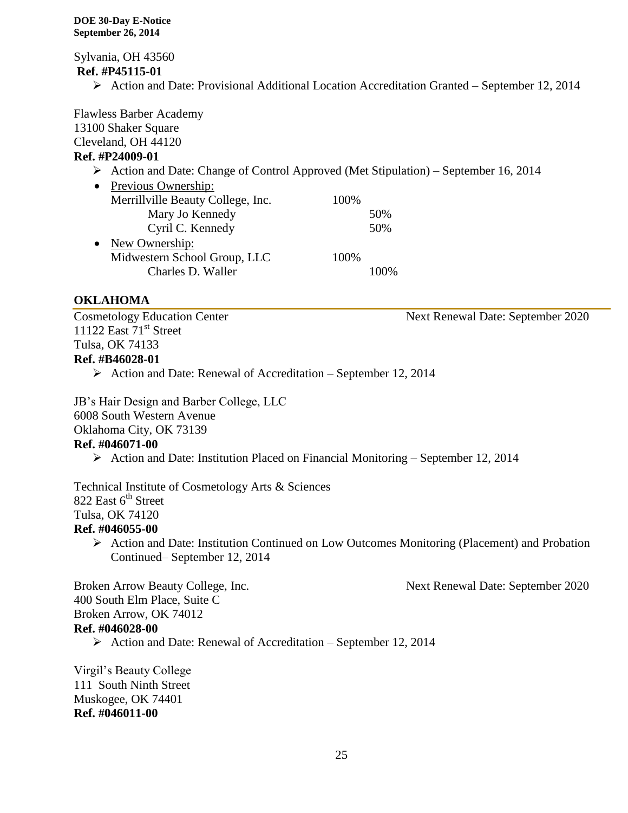Sylvania, OH 43560 **Ref. #P45115-01**

 $\triangleright$  Action and Date: Provisional Additional Location Accreditation Granted – September 12, 2014

Flawless Barber Academy 13100 Shaker Square Cleveland, OH 44120 **Ref. #P24009-01**

- Action and Date: Change of Control Approved (Met Stipulation) September 16, 2014
- Previous Ownership: Merrillville Beauty College, Inc. 100% Mary Jo Kennedy 50% Cyril C. Kennedy 50% • New Ownership: Midwestern School Group, LLC 100% Charles D. Waller 100%

# **OKLAHOMA**

Cosmetology Education Center Next Renewal Date: September 2020 11122 East  $71<sup>st</sup>$  Street Tulsa, OK 74133 **Ref. #B46028-01**

 $\triangleright$  Action and Date: Renewal of Accreditation – September 12, 2014

JB's Hair Design and Barber College, LLC

6008 South Western Avenue

Oklahoma City, OK 73139

#### **Ref. #046071-00**

 $\triangleright$  Action and Date: Institution Placed on Financial Monitoring – September 12, 2014

Technical Institute of Cosmetology Arts & Sciences 822 East  $6<sup>th</sup>$  Street Tulsa, OK 74120 **Ref. #046055-00**

 Action and Date: Institution Continued on Low Outcomes Monitoring (Placement) and Probation Continued– September 12, 2014

Broken Arrow Beauty College, Inc. Next Renewal Date: September 2020 400 South Elm Place, Suite C Broken Arrow, OK 74012

#### **Ref. #046028-00**

 $\triangleright$  Action and Date: Renewal of Accreditation – September 12, 2014

Virgil's Beauty College 111 South Ninth Street Muskogee, OK 74401 **Ref. #046011-00**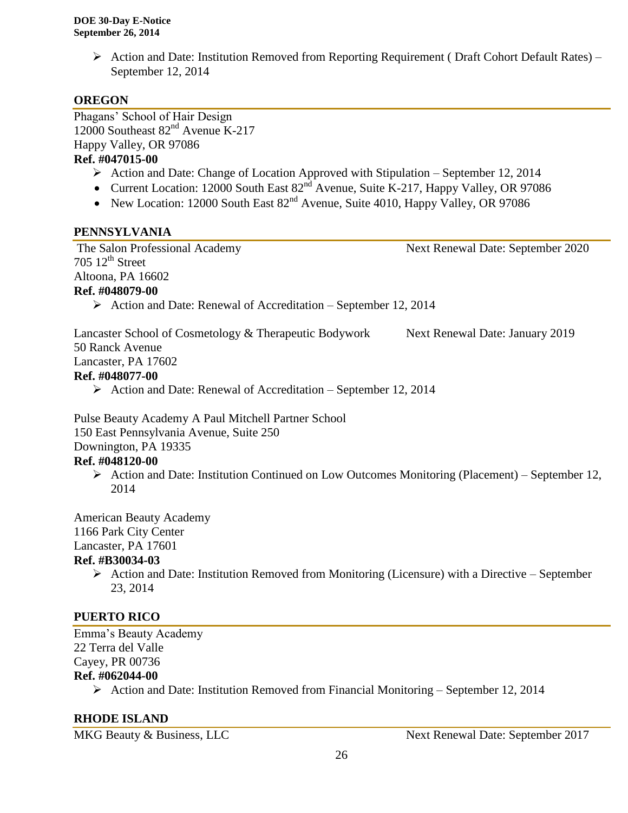$\triangleright$  Action and Date: Institution Removed from Reporting Requirement (Draft Cohort Default Rates) – September 12, 2014

# **OREGON**

Phagans' School of Hair Design 12000 Southeast 82<sup>nd</sup> Avenue K-217 Happy Valley, OR 97086 **Ref. #047015-00**

- $\triangleright$  Action and Date: Change of Location Approved with Stipulation September 12, 2014
- Current Location: 12000 South East  $82^{nd}$  Avenue, Suite K-217, Happy Valley, OR 97086
- New Location: 12000 South East  $82<sup>nd</sup>$  Avenue, Suite 4010, Happy Valley, OR 97086

## **PENNSYLVANIA**

The Salon Professional Academy Next Renewal Date: September 2020  $705 \; 12$ <sup>th</sup> Street Altoona, PA 16602 **Ref. #048079-00**  $\triangleright$  Action and Date: Renewal of Accreditation – September 12, 2014 Lancaster School of Cosmetology & Therapeutic Bodywork Next Renewal Date: January 2019 50 Ranck Avenue Lancaster, PA 17602 **Ref. #048077-00**  $\triangleright$  Action and Date: Renewal of Accreditation – September 12, 2014 Pulse Beauty Academy A Paul Mitchell Partner School 150 East Pennsylvania Avenue, Suite 250 Downington, PA 19335

#### **Ref. #048120-00**

Action and Date: Institution Continued on Low Outcomes Monitoring (Placement) – September 12, 2014

American Beauty Academy 1166 Park City Center

Lancaster, PA 17601

# **Ref. #B30034-03**

 $\triangleright$  Action and Date: Institution Removed from Monitoring (Licensure) with a Directive – September 23, 2014

# **PUERTO RICO**

Emma's Beauty Academy 22 Terra del Valle Cayey, PR 00736 **Ref. #062044-00**

Action and Date: Institution Removed from Financial Monitoring – September 12, 2014

# **RHODE ISLAND**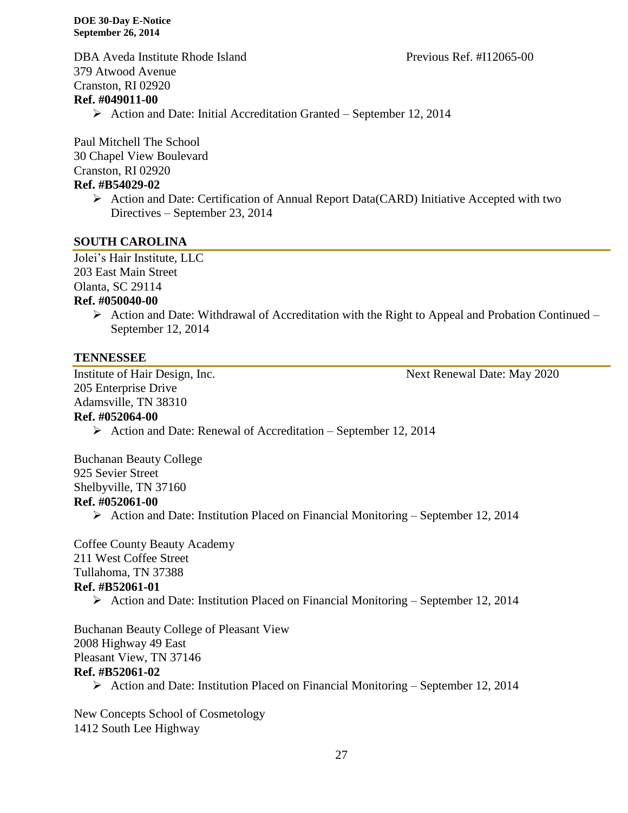DBA Aveda Institute Rhode Island Previous Ref. #I12065-00 379 Atwood Avenue Cranston, RI 02920

#### **Ref. #049011-00**

 $\triangleright$  Action and Date: Initial Accreditation Granted – September 12, 2014

Paul Mitchell The School 30 Chapel View Boulevard Cranston, RI 02920 **Ref. #B54029-02**

## Action and Date: Certification of Annual Report Data(CARD) Initiative Accepted with two Directives – September 23, 2014

#### **SOUTH CAROLINA**

Jolei's Hair Institute, LLC 203 East Main Street Olanta, SC 29114 **Ref. #050040-00**

 $\triangleright$  Action and Date: Withdrawal of Accreditation with the Right to Appeal and Probation Continued – September 12, 2014

# **TENNESSEE**

205 Enterprise Drive Adamsville, TN 38310

Institute of Hair Design, Inc. Next Renewal Date: May 2020

# **Ref. #052064-00**

 $\triangleright$  Action and Date: Renewal of Accreditation – September 12, 2014

Buchanan Beauty College 925 Sevier Street Shelbyville, TN 37160 **Ref. #052061-00**

Action and Date: Institution Placed on Financial Monitoring – September 12, 2014

Coffee County Beauty Academy 211 West Coffee Street Tullahoma, TN 37388 **Ref. #B52061-01**

Action and Date: Institution Placed on Financial Monitoring – September 12, 2014

Buchanan Beauty College of Pleasant View 2008 Highway 49 East Pleasant View, TN 37146 **Ref. #B52061-02**

 $\triangleright$  Action and Date: Institution Placed on Financial Monitoring – September 12, 2014

New Concepts School of Cosmetology 1412 South Lee Highway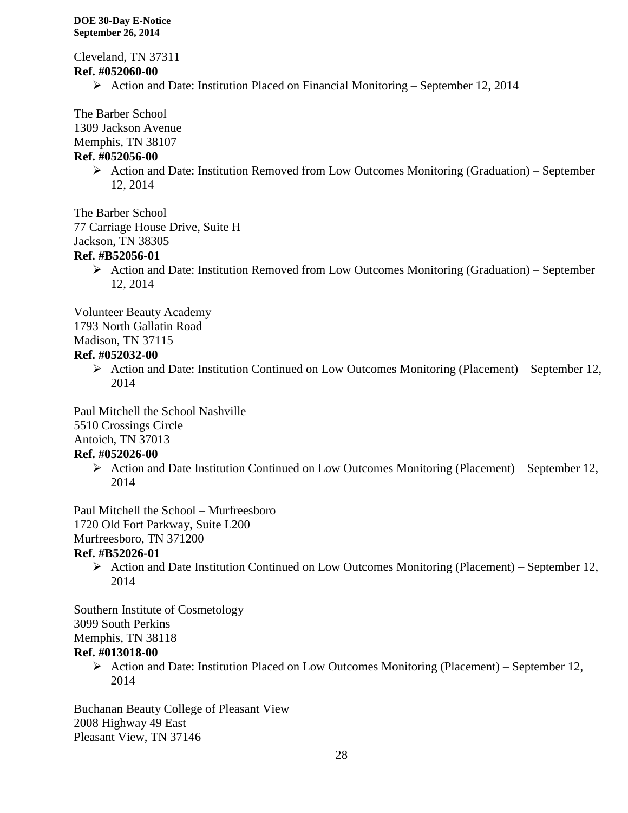Cleveland, TN 37311 **Ref. #052060-00**

 $\triangleright$  Action and Date: Institution Placed on Financial Monitoring – September 12, 2014

The Barber School

1309 Jackson Avenue

Memphis, TN 38107

#### **Ref. #052056-00**

 $\triangleright$  Action and Date: Institution Removed from Low Outcomes Monitoring (Graduation) – September 12, 2014

The Barber School

77 Carriage House Drive, Suite H

Jackson, TN 38305

# **Ref. #B52056-01**

 $\triangleright$  Action and Date: Institution Removed from Low Outcomes Monitoring (Graduation) – September 12, 2014

Volunteer Beauty Academy

1793 North Gallatin Road

Madison, TN 37115

# **Ref. #052032-00**

Action and Date: Institution Continued on Low Outcomes Monitoring (Placement) – September 12, 2014

Paul Mitchell the School Nashville 5510 Crossings Circle Antoich, TN 37013

# **Ref. #052026-00**

 $\triangleright$  Action and Date Institution Continued on Low Outcomes Monitoring (Placement) – September 12, 2014

Paul Mitchell the School – Murfreesboro 1720 Old Fort Parkway, Suite L200

Murfreesboro, TN 371200

# **Ref. #B52026-01**

 $\triangleright$  Action and Date Institution Continued on Low Outcomes Monitoring (Placement) – September 12, 2014

Southern Institute of Cosmetology 3099 South Perkins Memphis, TN 38118 **Ref. #013018-00**

> $\triangleright$  Action and Date: Institution Placed on Low Outcomes Monitoring (Placement) – September 12, 2014

Buchanan Beauty College of Pleasant View 2008 Highway 49 East Pleasant View, TN 37146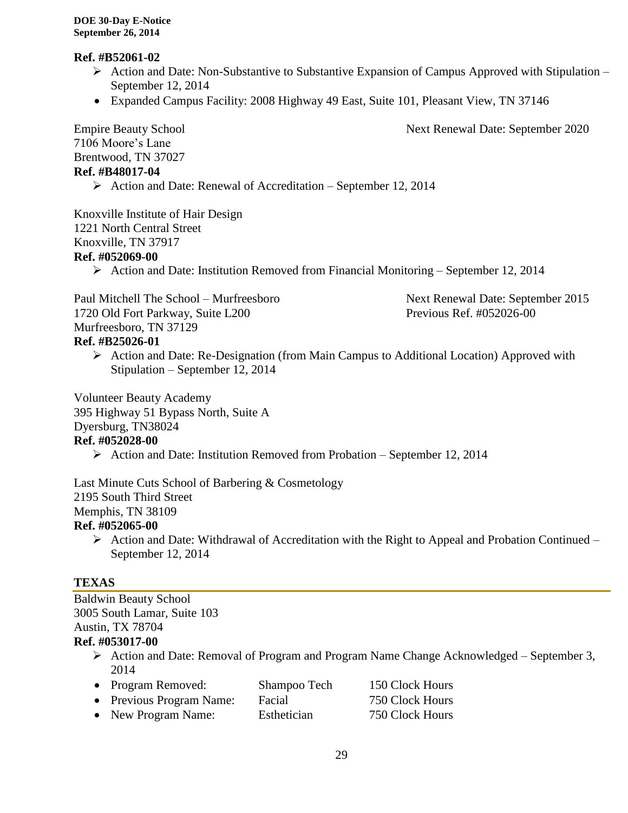#### **Ref. #B52061-02**

- $\triangleright$  Action and Date: Non-Substantive to Substantive Expansion of Campus Approved with Stipulation September 12, 2014
- Expanded Campus Facility: 2008 Highway 49 East, Suite 101, Pleasant View, TN 37146

Empire Beauty School Next Renewal Date: September 2020

7106 Moore's Lane Brentwood, TN 37027 **Ref. #B48017-04**

 $\triangleright$  Action and Date: Renewal of Accreditation – September 12, 2014

Knoxville Institute of Hair Design 1221 North Central Street Knoxville, TN 37917 **Ref. #052069-00**

 $\triangleright$  Action and Date: Institution Removed from Financial Monitoring – September 12, 2014

Paul Mitchell The School – Murfreesboro Next Renewal Date: September 2015 1720 Old Fort Parkway, Suite L200 Previous Ref. #052026-00 Murfreesboro, TN 37129 **Ref. #B25026-01**

- $\triangleright$  Action and Date: Re-Designation (from Main Campus to Additional Location) Approved with
	- Stipulation September 12, 2014

Volunteer Beauty Academy 395 Highway 51 Bypass North, Suite A Dyersburg, TN38024

# **Ref. #052028-00**

Action and Date: Institution Removed from Probation – September 12, 2014

Last Minute Cuts School of Barbering & Cosmetology 2195 South Third Street Memphis, TN 38109 **Ref. #052065-00**

 $\triangleright$  Action and Date: Withdrawal of Accreditation with the Right to Appeal and Probation Continued – September 12, 2014

# **TEXAS**

Baldwin Beauty School 3005 South Lamar, Suite 103 Austin, TX 78704

# **Ref. #053017-00**

 $\triangleright$  Action and Date: Removal of Program and Program Name Change Acknowledged – September 3, 2014

| • Program Removed:       | Shampoo Tech | 150 Clock Hours |
|--------------------------|--------------|-----------------|
| • Previous Program Name: | Facial       | 750 Clock Hours |
| • New Program Name:      | Esthetician  | 750 Clock Hours |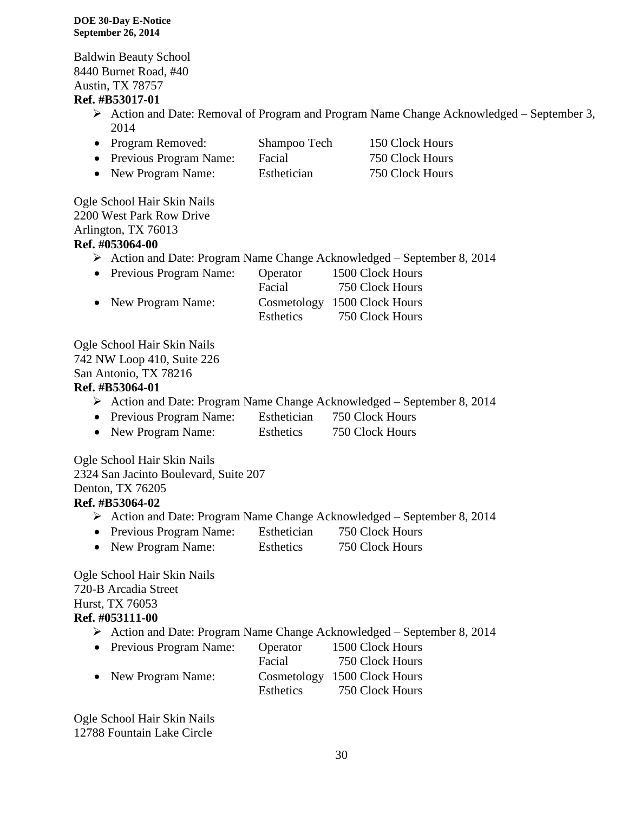Baldwin Beauty School 8440 Burnet Road, #40 Austin, TX 78757

#### **Ref. #B53017-01**

- $\triangleright$  Action and Date: Removal of Program and Program Name Change Acknowledged September 3, 2014
- Program Removed: Shampoo Tech 150 Clock Hours
- Previous Program Name: Facial 750 Clock Hours
- New Program Name: Esthetician 750 Clock Hours

Ogle School Hair Skin Nails 2200 West Park Row Drive Arlington, TX 76013 **Ref. #053064-00**

- Action and Date: Program Name Change Acknowledged September 8, 2014
- Previous Program Name: Operator 1500 Clock Hours Facial 750 Clock Hours • New Program Name: Cosmetology 1500 Clock Hours Esthetics 750 Clock Hours

Ogle School Hair Skin Nails 742 NW Loop 410, Suite 226 San Antonio, TX 78216

#### **Ref. #B53064-01**

- $\triangleright$  Action and Date: Program Name Change Acknowledged September 8, 2014
- Previous Program Name: Esthetician 750 Clock Hours
- New Program Name: Esthetics 750 Clock Hours

Ogle School Hair Skin Nails 2324 San Jacinto Boulevard, Suite 207 Denton, TX 76205 **Ref. #B53064-02**

- Action and Date: Program Name Change Acknowledged September 8, 2014
- Previous Program Name: Esthetician 750 Clock Hours
- New Program Name: Esthetics 750 Clock Hours

Ogle School Hair Skin Nails 720-B Arcadia Street Hurst, TX 76053 **Ref. #053111-00**

- Action and Date: Program Name Change Acknowledged September 8, 2014
- Previous Program Name: Operator 1500 Clock Hours Facial 750 Clock Hours • New Program Name: Cosmetology 1500 Clock Hours Esthetics 750 Clock Hours

Ogle School Hair Skin Nails 12788 Fountain Lake Circle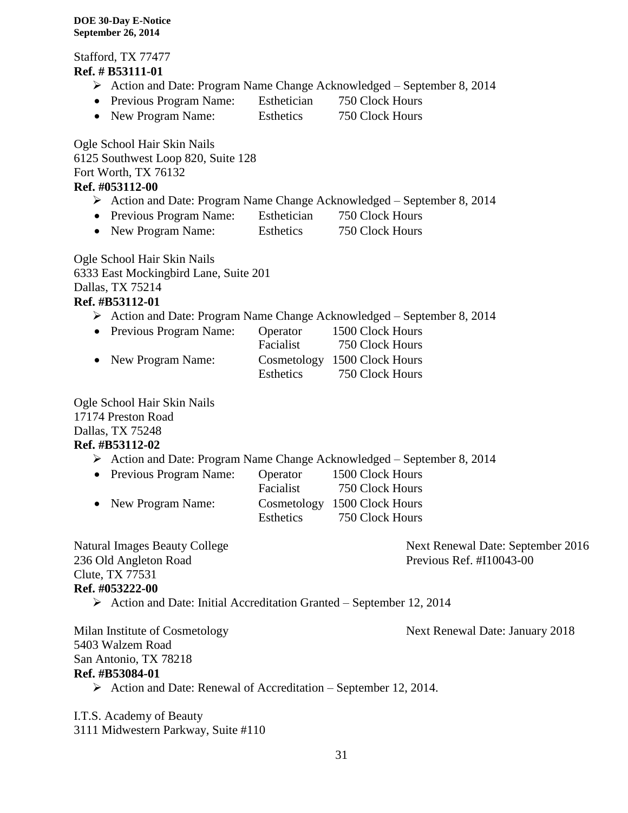Stafford, TX 77477 **Ref. # B53111-01** Action and Date: Program Name Change Acknowledged – September 8, 2014 • Previous Program Name: Esthetician 750 Clock Hours • New Program Name: Esthetics 750 Clock Hours Ogle School Hair Skin Nails 6125 Southwest Loop 820, Suite 128 Fort Worth, TX 76132 **Ref. #053112-00**

- Action and Date: Program Name Change Acknowledged September 8, 2014
- Previous Program Name: Esthetician 750 Clock Hours
- New Program Name: Esthetics 750 Clock Hours

Ogle School Hair Skin Nails 6333 East Mockingbird Lane, Suite 201 Dallas, TX 75214 **Ref. #B53112-01**

Action and Date: Program Name Change Acknowledged – September 8, 2014

| • Previous Program Name: | Operator  | 1500 Clock Hours             |
|--------------------------|-----------|------------------------------|
|                          | Facialist | 750 Clock Hours              |
| • New Program Name:      |           | Cosmetology 1500 Clock Hours |
|                          | Esthetics | 750 Clock Hours              |

Ogle School Hair Skin Nails 17174 Preston Road Dallas, TX 75248 **Ref. #B53112-02**

Action and Date: Program Name Change Acknowledged – September 8, 2014

| • Previous Program Name: | Operator  | 1500 Clock Hours             |
|--------------------------|-----------|------------------------------|
|                          | Facialist | 750 Clock Hours              |
| • New Program Name:      |           | Cosmetology 1500 Clock Hours |
|                          | Esthetics | 750 Clock Hours              |

| <b>Natural Images Beauty College</b>                                                 | Next Renewal Date: September 2016 |
|--------------------------------------------------------------------------------------|-----------------------------------|
| 236 Old Angleton Road                                                                | Previous Ref. $\#110043-00$       |
| Clute, TX 77531                                                                      |                                   |
| Ref. #053222-00                                                                      |                                   |
| $\triangleright$ Action and Date: Initial Accreditation Granted – September 12, 2014 |                                   |
| Milan Institute of Cosmetology                                                       | Next Renewal Date: January 2018   |
| 5403 Walzem Road                                                                     |                                   |
|                                                                                      |                                   |

5403 Walzem Road San Antonio, TX 78218 **Ref. #B53084-01**

 $\triangleright$  Action and Date: Renewal of Accreditation – September 12, 2014.

I.T.S. Academy of Beauty 3111 Midwestern Parkway, Suite #110

31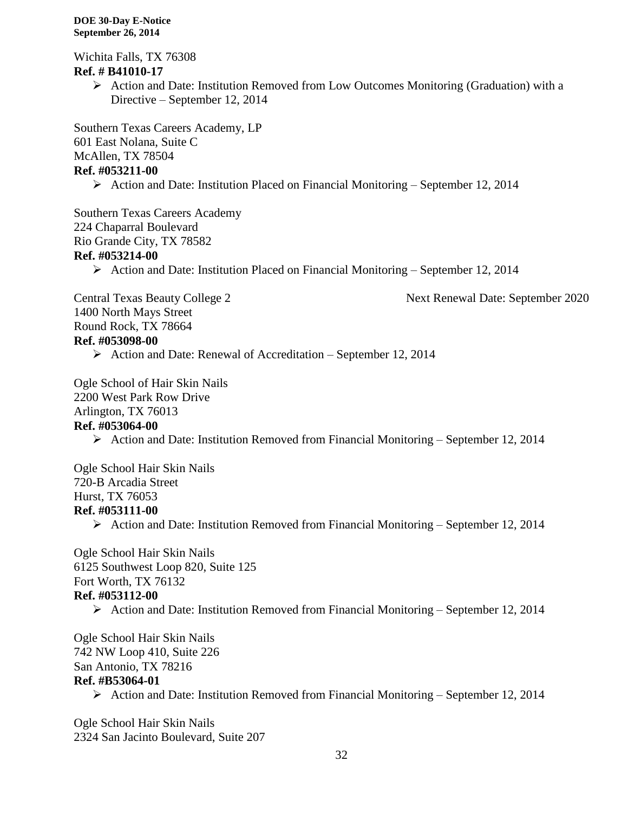Wichita Falls, TX 76308 **Ref. # B41010-17**

> $\triangleright$  Action and Date: Institution Removed from Low Outcomes Monitoring (Graduation) with a Directive – September 12, 2014

Southern Texas Careers Academy, LP 601 East Nolana, Suite C McAllen, TX 78504 **Ref. #053211-00**

 $\triangleright$  Action and Date: Institution Placed on Financial Monitoring – September 12, 2014

Southern Texas Careers Academy 224 Chaparral Boulevard Rio Grande City, TX 78582 **Ref. #053214-00**

Action and Date: Institution Placed on Financial Monitoring – September 12, 2014

Central Texas Beauty College 2 Next Renewal Date: September 2020

1400 North Mays Street Round Rock, TX 78664 **Ref. #053098-00**

 $\triangleright$  Action and Date: Renewal of Accreditation – September 12, 2014

Ogle School of Hair Skin Nails 2200 West Park Row Drive Arlington, TX 76013 **Ref. #053064-00**

 $\triangleright$  Action and Date: Institution Removed from Financial Monitoring – September 12, 2014

Ogle School Hair Skin Nails 720-B Arcadia Street Hurst, TX 76053 **Ref. #053111-00**

 $\triangleright$  Action and Date: Institution Removed from Financial Monitoring – September 12, 2014

Ogle School Hair Skin Nails 6125 Southwest Loop 820, Suite 125 Fort Worth, TX 76132 **Ref. #053112-00**

 $\triangleright$  Action and Date: Institution Removed from Financial Monitoring – September 12, 2014

Ogle School Hair Skin Nails 742 NW Loop 410, Suite 226 San Antonio, TX 78216 **Ref. #B53064-01**

Action and Date: Institution Removed from Financial Monitoring – September 12, 2014

Ogle School Hair Skin Nails 2324 San Jacinto Boulevard, Suite 207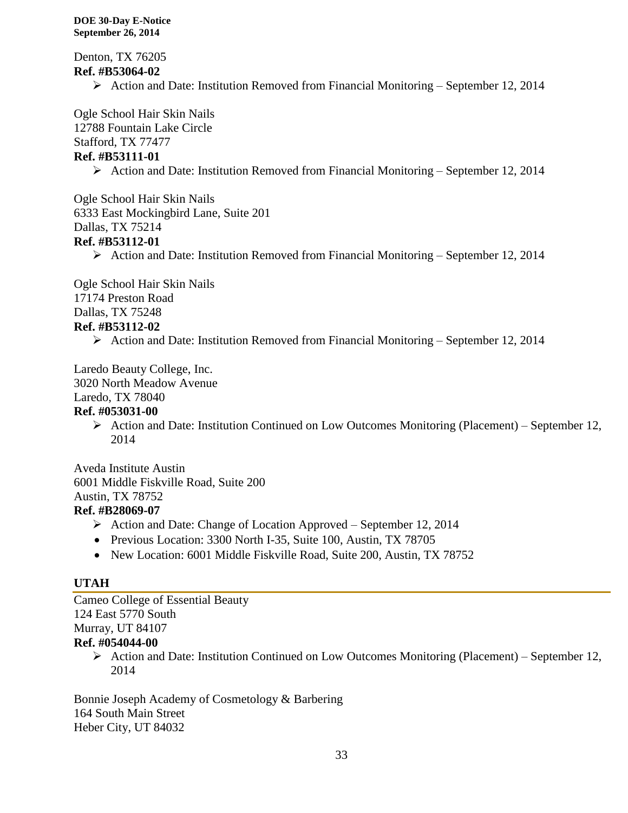Denton, TX 76205 **Ref. #B53064-02**

Action and Date: Institution Removed from Financial Monitoring – September 12, 2014

Ogle School Hair Skin Nails 12788 Fountain Lake Circle

Stafford, TX 77477

# **Ref. #B53111-01**

Action and Date: Institution Removed from Financial Monitoring – September 12, 2014

Ogle School Hair Skin Nails 6333 East Mockingbird Lane, Suite 201 Dallas, TX 75214 **Ref. #B53112-01**

Action and Date: Institution Removed from Financial Monitoring – September 12, 2014

Ogle School Hair Skin Nails 17174 Preston Road Dallas, TX 75248 **Ref. #B53112-02**

Action and Date: Institution Removed from Financial Monitoring – September 12, 2014

Laredo Beauty College, Inc.

3020 North Meadow Avenue

Laredo, TX 78040

# **Ref. #053031-00**

 $\triangleright$  Action and Date: Institution Continued on Low Outcomes Monitoring (Placement) – September 12, 2014

Aveda Institute Austin 6001 Middle Fiskville Road, Suite 200 Austin, TX 78752

# **Ref. #B28069-07**

- $\triangleright$  Action and Date: Change of Location Approved September 12, 2014
- Previous Location: 3300 North I-35, Suite 100, Austin, TX 78705
- New Location: 6001 Middle Fiskville Road, Suite 200, Austin, TX 78752

# **UTAH**

Cameo College of Essential Beauty 124 East 5770 South Murray, UT 84107

# **Ref. #054044-00**

Action and Date: Institution Continued on Low Outcomes Monitoring (Placement) – September 12, 2014

Bonnie Joseph Academy of Cosmetology & Barbering 164 South Main Street Heber City, UT 84032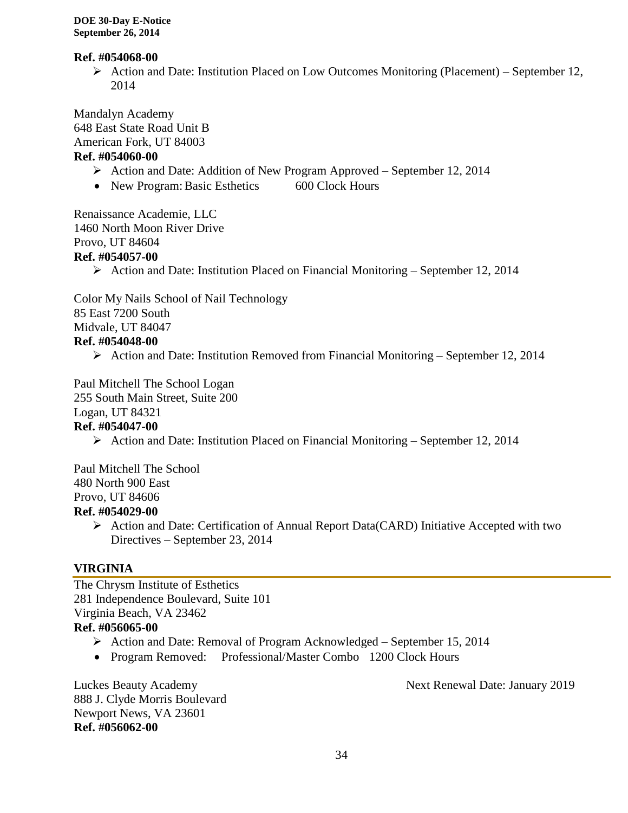#### **Ref. #054068-00**

 $\triangleright$  Action and Date: Institution Placed on Low Outcomes Monitoring (Placement) – September 12, 2014

Mandalyn Academy 648 East State Road Unit B American Fork, UT 84003

#### **Ref. #054060-00**

- Action and Date: Addition of New Program Approved September 12, 2014
- New Program: Basic Esthetics 600 Clock Hours

Renaissance Academie, LLC 1460 North Moon River Drive Provo, UT 84604 **Ref. #054057-00**

 $\triangleright$  Action and Date: Institution Placed on Financial Monitoring – September 12, 2014

Color My Nails School of Nail Technology 85 East 7200 South Midvale, UT 84047 **Ref. #054048-00**

 $\triangleright$  Action and Date: Institution Removed from Financial Monitoring – September 12, 2014

Paul Mitchell The School Logan 255 South Main Street, Suite 200 Logan, UT 84321

# **Ref. #054047-00**

Action and Date: Institution Placed on Financial Monitoring – September 12, 2014

Paul Mitchell The School 480 North 900 East Provo, UT 84606

#### **Ref. #054029-00**

 $\triangleright$  Action and Date: Certification of Annual Report Data(CARD) Initiative Accepted with two Directives – September 23, 2014

# **VIRGINIA**

The Chrysm Institute of Esthetics 281 Independence Boulevard, Suite 101 Virginia Beach, VA 23462 **Ref. #056065-00**

- Action and Date: Removal of Program Acknowledged September 15, 2014
- Program Removed: Professional/Master Combo 1200 Clock Hours

888 J. Clyde Morris Boulevard Newport News, VA 23601 **Ref. #056062-00**

Luckes Beauty Academy Next Renewal Date: January 2019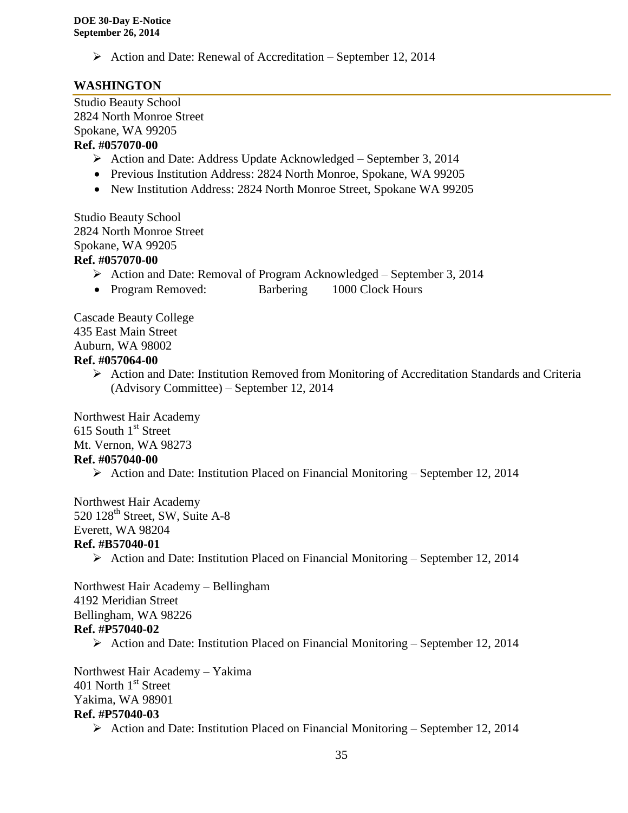$\triangleright$  Action and Date: Renewal of Accreditation – September 12, 2014

# **WASHINGTON**

Studio Beauty School 2824 North Monroe Street Spokane, WA 99205 **Ref. #057070-00**

- $\triangleright$  Action and Date: Address Update Acknowledged September 3, 2014
- Previous Institution Address: 2824 North Monroe, Spokane, WA 99205
- New Institution Address: 2824 North Monroe Street, Spokane WA 99205

Studio Beauty School 2824 North Monroe Street Spokane, WA 99205 **Ref. #057070-00**

- Action and Date: Removal of Program Acknowledged September 3, 2014
- Program Removed: Barbering 1000 Clock Hours

Cascade Beauty College 435 East Main Street Auburn, WA 98002

#### **Ref. #057064-00**

 $\triangleright$  Action and Date: Institution Removed from Monitoring of Accreditation Standards and Criteria (Advisory Committee) – September 12, 2014

Northwest Hair Academy  $615$  South  $1<sup>st</sup>$  Street Mt. Vernon, WA 98273 **Ref. #057040-00**

 $\triangleright$  Action and Date: Institution Placed on Financial Monitoring – September 12, 2014

Northwest Hair Academy  $520$   $128<sup>th</sup>$  Street, SW, Suite A-8 Everett, WA 98204 **Ref. #B57040-01**

 $\triangleright$  Action and Date: Institution Placed on Financial Monitoring – September 12, 2014

Northwest Hair Academy – Bellingham 4192 Meridian Street Bellingham, WA 98226 **Ref. #P57040-02**

 $\triangleright$  Action and Date: Institution Placed on Financial Monitoring – September 12, 2014

Northwest Hair Academy – Yakima 401 North 1st Street Yakima, WA 98901 **Ref. #P57040-03**  $\triangleright$  Action and Date: Institution Placed on Financial Monitoring – September 12, 2014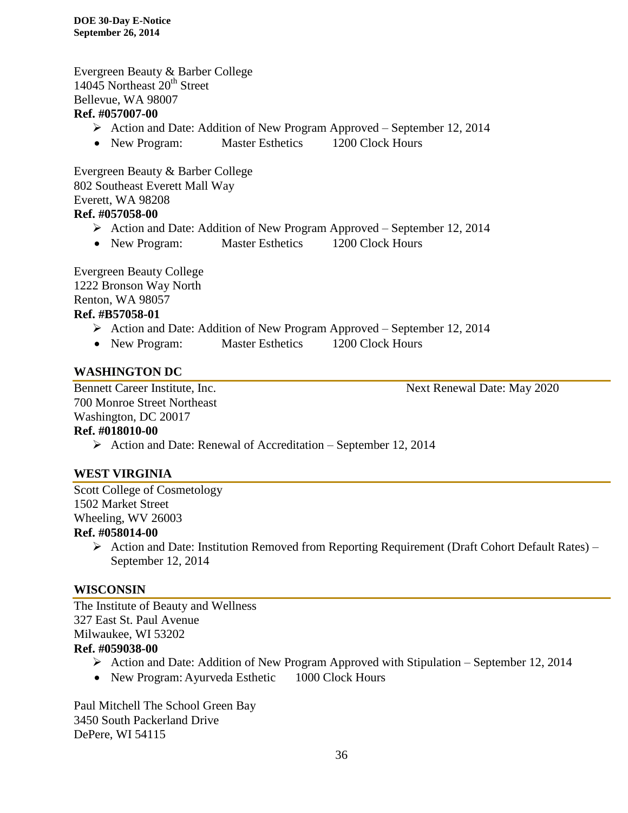Evergreen Beauty & Barber College  $14045$  Northeast  $20<sup>th</sup>$  Street Bellevue, WA 98007 **Ref. #057007-00**

- Action and Date: Addition of New Program Approved September 12, 2014
- New Program: Master Esthetics 1200 Clock Hours

Evergreen Beauty & Barber College 802 Southeast Everett Mall Way Everett, WA 98208 **Ref. #057058-00**

- Action and Date: Addition of New Program Approved September 12, 2014
- New Program: Master Esthetics 1200 Clock Hours

Evergreen Beauty College 1222 Bronson Way North Renton, WA 98057

# **Ref. #B57058-01**

- Action and Date: Addition of New Program Approved September 12, 2014
- New Program: Master Esthetics 1200 Clock Hours

#### **WASHINGTON DC**

700 Monroe Street Northeast Washington, DC 20017

Bennett Career Institute, Inc. Next Renewal Date: May 2020

#### **Ref. #018010-00**

 $\triangleright$  Action and Date: Renewal of Accreditation – September 12, 2014

#### **WEST VIRGINIA**

Scott College of Cosmetology 1502 Market Street Wheeling, WV 26003

#### **Ref. #058014-00**

 Action and Date: Institution Removed from Reporting Requirement (Draft Cohort Default Rates) – September 12, 2014

#### **WISCONSIN**

The Institute of Beauty and Wellness 327 East St. Paul Avenue Milwaukee, WI 53202 **Ref. #059038-00**

- $\triangleright$  Action and Date: Addition of New Program Approved with Stipulation September 12, 2014
- New Program: Ayurveda Esthetic 1000 Clock Hours

Paul Mitchell The School Green Bay 3450 South Packerland Drive DePere, WI 54115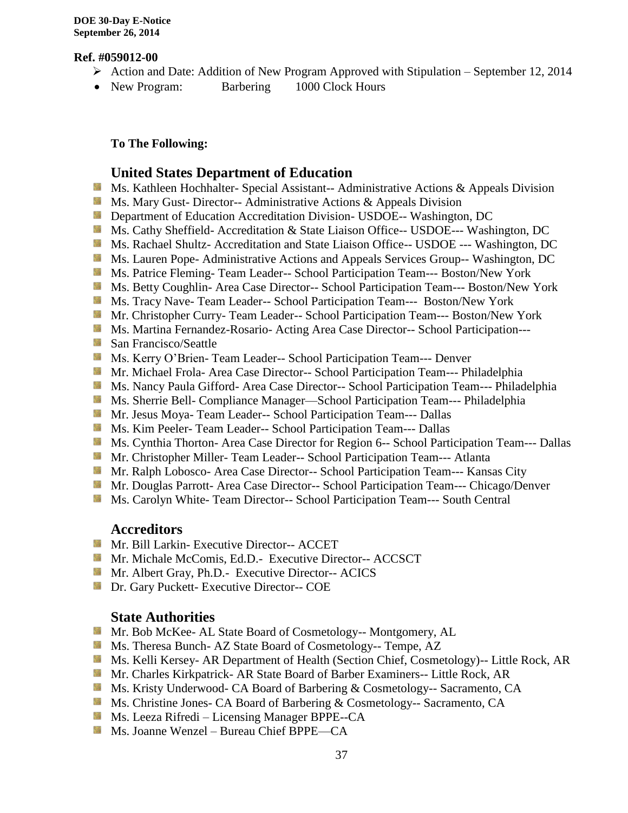#### **Ref. #059012-00**

- $\triangleright$  Action and Date: Addition of New Program Approved with Stipulation September 12, 2014
- New Program: Barbering 1000 Clock Hours

#### **To The Following:**

#### **United States Department of Education**

- **Ms. Kathleen Hochhalter- Special Assistant-- Administrative Actions & Appeals Division**
- **MS. Mary Gust- Director-- Administrative Actions & Appeals Division**
- **Department of Education Accreditation Division- USDOE-- Washington, DC**
- **Ms. Cathy Sheffield- Accreditation & State Liaison Office-- USDOE--- Washington, DC**
- Ms. Rachael Shultz- Accreditation and State Liaison Office-- USDOE --- Washington, DC
- **Ms. Lauren Pope- Administrative Actions and Appeals Services Group-- Washington, DC**
- Ms. Patrice Fleming-Team Leader-- School Participation Team--- Boston/New York
- Ms. Betty Coughlin- Area Case Director-- School Participation Team--- Boston/New York
- **MS. Tracy Nave-Team Leader-- School Participation Team--- Boston/New York**
- Mr. Christopher Curry- Team Leader-- School Participation Team--- Boston/New York
- **Ms. Martina Fernandez-Rosario- Acting Area Case Director-- School Participation---**
- San Francisco/Seattle
- Ms. Kerry O'Brien- Team Leader-- School Participation Team--- Denver
- Mr. Michael Frola- Area Case Director-- School Participation Team--- Philadelphia
- Ms. Nancy Paula Gifford- Area Case Director-- School Participation Team--- Philadelphia
- Ms. Sherrie Bell- Compliance Manager—School Participation Team--- Philadelphia
- Mr. Jesus Moya- Team Leader-- School Participation Team--- Dallas
- Ms. Kim Peeler- Team Leader-- School Participation Team--- Dallas
- **Ms. Cynthia Thorton- Area Case Director for Region 6-- School Participation Team--- Dallas**
- **Mr. Christopher Miller-Team Leader-- School Participation Team--- Atlanta**
- Mr. Ralph Lobosco- Area Case Director-- School Participation Team--- Kansas City
- Mr. Douglas Parrott- Area Case Director-- School Participation Team--- Chicago/Denver
- Ms. Carolyn White-Team Director-- School Participation Team--- South Central

#### **Accreditors**

- **Mr. Bill Larkin- Executive Director-- ACCET**
- Mr. Michale McComis, Ed.D.- Executive Director-- ACCSCT
- Mr. Albert Gray, Ph.D.- Executive Director-- ACICS
- **Dr.** Gary Puckett- Executive Director-- COE

## **State Authorities**

- Mr. Bob McKee- AL State Board of Cosmetology-- Montgomery, AL
- Ms. Theresa Bunch- AZ State Board of Cosmetology-- Tempe, AZ
- Ms. Kelli Kersey- AR Department of Health (Section Chief, Cosmetology)-- Little Rock, AR
- Mr. Charles Kirkpatrick- AR State Board of Barber Examiners-- Little Rock, AR
- Ms. Kristy Underwood- CA Board of Barbering & Cosmetology-- Sacramento, CA
- **Ms.** Christine Jones- CA Board of Barbering & Cosmetology-- Sacramento, CA
- **Ms. Leeza Rifredi** Licensing Manager BPPE--CA
- Ms. Joanne Wenzel Bureau Chief BPPE—CA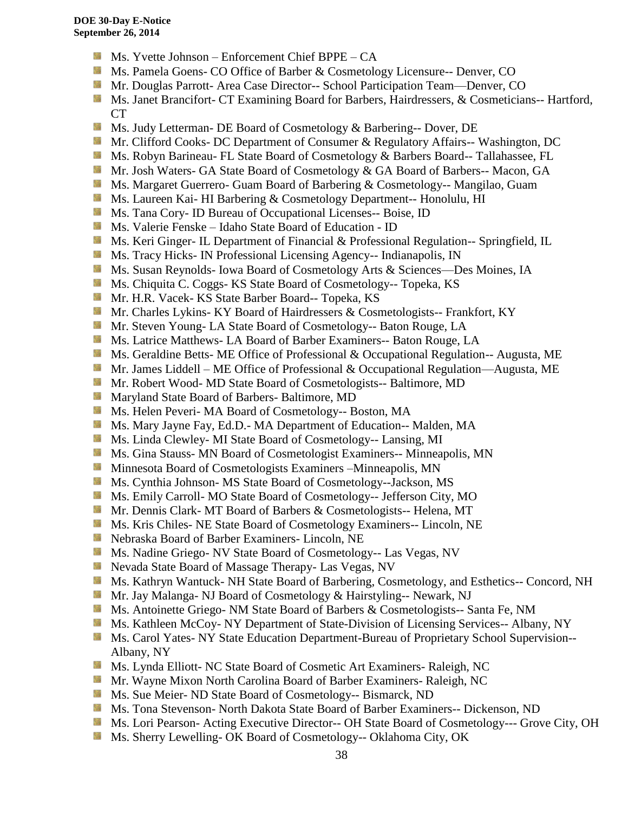- $M_s$ . Yvette Johnson Enforcement Chief BPPE CA
- Ms. Pamela Goens- CO Office of Barber & Cosmetology Licensure-- Denver, CO
- **Mr. Douglas Parrott- Area Case Director-- School Participation Team—Denver, CO**
- Ms. Janet Brancifort- CT Examining Board for Barbers, Hairdressers, & Cosmeticians-- Hartford, CT
- **Ms. Judy Letterman- DE Board of Cosmetology & Barbering-- Dover, DE**
- Mr. Clifford Cooks- DC Department of Consumer & Regulatory Affairs-- Washington, DC
- **Ms. Robyn Barineau- FL State Board of Cosmetology & Barbers Board-- Tallahassee, FL**
- **Mr.** Josh Waters- GA State Board of Cosmetology & GA Board of Barbers-- Macon, GA
- **Ms. Margaret Guerrero- Guam Board of Barbering & Cosmetology-- Mangilao, Guam**
- **Ms. Laureen Kai- HI Barbering & Cosmetology Department-- Honolulu, HI**
- 56 Ms. Tana Cory- ID Bureau of Occupational Licenses-- Boise, ID
- Ms. Valerie Fenske Idaho State Board of Education ID
- **Ms. Keri Ginger- IL Department of Financial & Professional Regulation-- Springfield, IL**
- **Ms.** Tracy Hicks- IN Professional Licensing Agency-- Indianapolis, IN
- Ms. Susan Reynolds- Iowa Board of Cosmetology Arts & Sciences—Des Moines, IA
- **Ms.** Chiquita C. Coggs- KS State Board of Cosmetology-- Topeka, KS
- Mr. H.R. Vacek- KS State Barber Board-- Topeka, KS
- **Mr. Charles Lykins- KY Board of Hairdressers & Cosmetologists-- Frankfort, KY**
- Mr. Steven Young- LA State Board of Cosmetology-- Baton Rouge, LA
- **Ms. Latrice Matthews- LA Board of Barber Examiners-- Baton Rouge, LA**
- **Ms. Geraldine Betts- ME Office of Professional & Occupational Regulation-- Augusta, ME**
- Mr. James Liddell ME Office of Professional & Occupational Regulation—Augusta, ME
- Mr. Robert Wood- MD State Board of Cosmetologists-- Baltimore, MD
- 59 Maryland State Board of Barbers- Baltimore, MD
- Ms. Helen Peveri- MA Board of Cosmetology-- Boston, MA
- Ms. Mary Jayne Fay, Ed.D.- MA Department of Education-- Malden, MA
- Ms. Linda Clewley- MI State Board of Cosmetology-- Lansing, MI
- **MS.** Gina Stauss- MN Board of Cosmetologist Examiners-- Minneapolis, MN
- **M** Minnesota Board of Cosmetologists Examiners –Minneapolis, MN
- Ms. Cynthia Johnson- MS State Board of Cosmetology--Jackson, MS
- Ms. Emily Carroll- MO State Board of Cosmetology-- Jefferson City, MO
- Mr. Dennis Clark- MT Board of Barbers & Cosmetologists-- Helena, MT
- Ms. Kris Chiles- NE State Board of Cosmetology Examiners-- Lincoln, NE
- **Nebraska Board of Barber Examiners- Lincoln, NE**
- Ms. Nadine Griego- NV State Board of Cosmetology-- Las Vegas, NV
- **Nevada State Board of Massage Therapy- Las Vegas, NV**
- Ms. Kathryn Wantuck- NH State Board of Barbering, Cosmetology, and Esthetics-- Concord, NH
- Mr. Jay Malanga- NJ Board of Cosmetology & Hairstyling-- Newark, NJ
- Ms. Antoinette Griego- NM State Board of Barbers & Cosmetologists-- Santa Fe, NM
- **Ms. Kathleen McCoy- NY Department of State-Division of Licensing Services-- Albany, NY**
- Ms. Carol Yates- NY State Education Department-Bureau of Proprietary School Supervision--Albany, NY
- Ms. Lynda Elliott- NC State Board of Cosmetic Art Examiners- Raleigh, NC
- Mr. Wayne Mixon North Carolina Board of Barber Examiners- Raleigh, NC
- **Ms. Sue Meier- ND State Board of Cosmetology-- Bismarck, ND**
- **Ms. Tona Stevenson- North Dakota State Board of Barber Examiners-- Dickenson, ND**
- Ms. Lori Pearson- Acting Executive Director-- OH State Board of Cosmetology--- Grove City, OH
- Ms. Sherry Lewelling- OK Board of Cosmetology-- Oklahoma City, OK